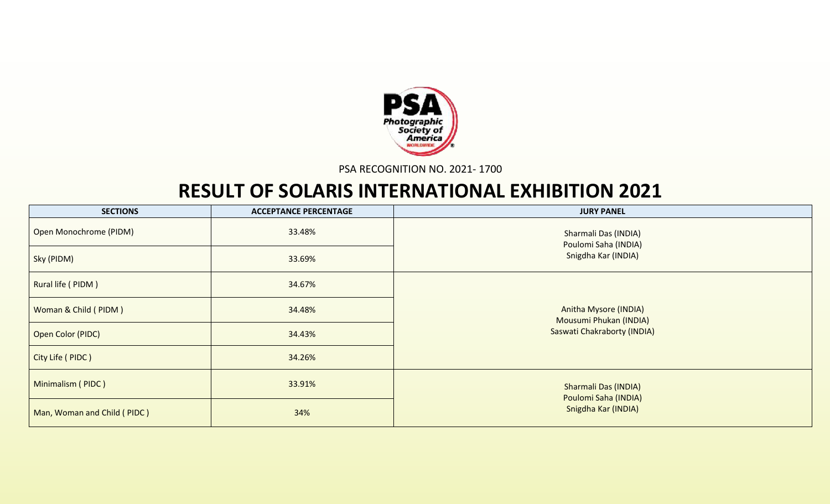

PSA RECOGNITION NO. 2021- 1700

## **RESULT OF SOLARIS INTERNATIONAL EXHIBITION 2021**

| <b>SECTIONS</b>             | <b>ACCEPTANCE PERCENTAGE</b> | <b>JURY PANEL</b>                                      |
|-----------------------------|------------------------------|--------------------------------------------------------|
| Open Monochrome (PIDM)      | 33.48%                       | Sharmali Das (INDIA)<br>Poulomi Saha (INDIA)           |
| Sky (PIDM)                  | 33.69%                       | Snigdha Kar (INDIA)                                    |
| Rural life (PIDM)           | 34.67%                       |                                                        |
| Woman & Child (PIDM)        | 34.48%                       | <b>Anitha Mysore (INDIA)</b><br>Mousumi Phukan (INDIA) |
| Open Color (PIDC)           | 34.43%                       | Saswati Chakraborty (INDIA)                            |
| City Life (PIDC)            | 34.26%                       |                                                        |
| Minimalism (PIDC)           | 33.91%                       | <b>Sharmali Das (INDIA)</b><br>Poulomi Saha (INDIA)    |
| Man, Woman and Child (PIDC) | 34%                          | Snigdha Kar (INDIA)                                    |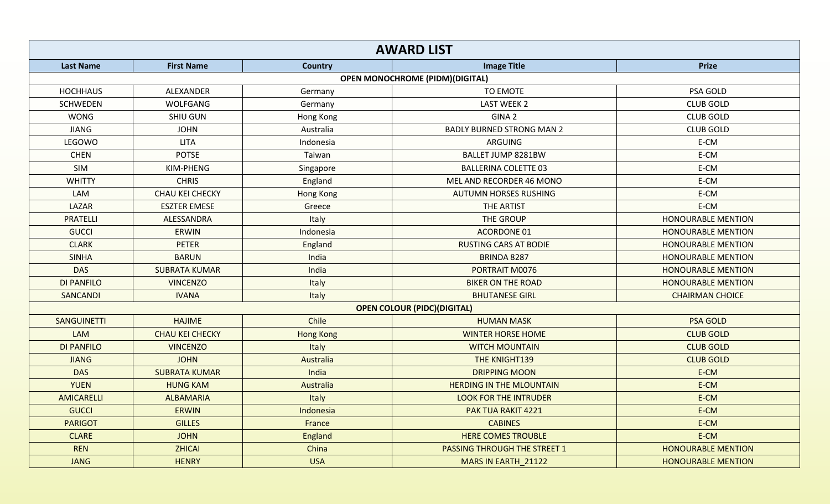|                    |                        |                  | <b>AWARD LIST</b>                      |                           |
|--------------------|------------------------|------------------|----------------------------------------|---------------------------|
| <b>Last Name</b>   | <b>First Name</b>      | Country          | <b>Image Title</b>                     | <b>Prize</b>              |
|                    |                        |                  | <b>OPEN MONOCHROME (PIDM)(DIGITAL)</b> |                           |
| <b>HOCHHAUS</b>    | ALEXANDER              | Germany          | <b>TO EMOTE</b>                        | PSA GOLD                  |
| <b>SCHWEDEN</b>    | WOLFGANG               | Germany          | <b>LAST WEEK 2</b>                     | <b>CLUB GOLD</b>          |
| <b>WONG</b>        | <b>SHIU GUN</b>        | Hong Kong        | GINA <sub>2</sub>                      | <b>CLUB GOLD</b>          |
| <b>JIANG</b>       | <b>JOHN</b>            | Australia        | <b>BADLY BURNED STRONG MAN 2</b>       | <b>CLUB GOLD</b>          |
| LEGOWO             | <b>LITA</b>            | Indonesia        | ARGUING                                | E-CM                      |
| <b>CHEN</b>        | <b>POTSE</b>           | Taiwan           | BALLET JUMP 8281BW                     | E-CM                      |
| SIM                | KIM-PHENG              | Singapore        | <b>BALLERINA COLETTE 03</b>            | E-CM                      |
| <b>WHITTY</b>      | <b>CHRIS</b>           | England          | MEL AND RECORDER 46 MONO               | E-CM                      |
| LAM                | CHAU KEI CHECKY        | Hong Kong        | <b>AUTUMN HORSES RUSHING</b>           | E-CM                      |
| LAZAR              | <b>ESZTER EMESE</b>    | Greece           | THE ARTIST                             | E-CM                      |
| <b>PRATELLI</b>    | ALESSANDRA             | Italy            | THE GROUP                              | <b>HONOURABLE MENTION</b> |
| <b>GUCCI</b>       | <b>ERWIN</b>           | Indonesia        | <b>ACORDONE 01</b>                     | <b>HONOURABLE MENTION</b> |
| <b>CLARK</b>       | <b>PETER</b>           | England          | <b>RUSTING CARS AT BODIE</b>           | <b>HONOURABLE MENTION</b> |
| <b>SINHA</b>       | <b>BARUN</b>           | India            | BRINDA 8287                            | <b>HONOURABLE MENTION</b> |
| <b>DAS</b>         | <b>SUBRATA KUMAR</b>   | India            | PORTRAIT M0076                         | <b>HONOURABLE MENTION</b> |
| <b>DI PANFILO</b>  | <b>VINCENZO</b>        | Italy            | <b>BIKER ON THE ROAD</b>               | <b>HONOURABLE MENTION</b> |
| <b>SANCANDI</b>    | <b>IVANA</b>           | Italy            | <b>BHUTANESE GIRL</b>                  | <b>CHAIRMAN CHOICE</b>    |
|                    |                        |                  | <b>OPEN COLOUR (PIDC) (DIGITAL)</b>    |                           |
| <b>SANGUINETTI</b> | <b>HAJIME</b>          | Chile            | <b>HUMAN MASK</b>                      | <b>PSA GOLD</b>           |
| <b>LAM</b>         | <b>CHAU KEI CHECKY</b> | <b>Hong Kong</b> | <b>WINTER HORSE HOME</b>               | <b>CLUB GOLD</b>          |
| <b>DI PANFILO</b>  | <b>VINCENZO</b>        | Italy            | <b>WITCH MOUNTAIN</b>                  | <b>CLUB GOLD</b>          |
| <b>JIANG</b>       | <b>JOHN</b>            | Australia        | THE KNIGHT139                          | <b>CLUB GOLD</b>          |
| <b>DAS</b>         | <b>SUBRATA KUMAR</b>   | India            | <b>DRIPPING MOON</b>                   | E-CM                      |
| <b>YUEN</b>        | <b>HUNG KAM</b>        | Australia        | <b>HERDING IN THE MLOUNTAIN</b>        | E-CM                      |
| AMICARELLI         | <b>ALBAMARIA</b>       | Italy            | <b>LOOK FOR THE INTRUDER</b>           | E-CM                      |
| <b>GUCCI</b>       | <b>ERWIN</b>           | Indonesia        | PAK TUA RAKIT 4221                     | E-CM                      |
| <b>PARIGOT</b>     | <b>GILLES</b>          | France           | <b>CABINES</b>                         | E-CM                      |
| <b>CLARE</b>       | <b>JOHN</b>            | <b>England</b>   | <b>HERE COMES TROUBLE</b>              | E-CM                      |
| <b>REN</b>         | <b>ZHICAI</b>          | China            | <b>PASSING THROUGH THE STREET 1</b>    | <b>HONOURABLE MENTION</b> |
| <b>JANG</b>        | <b>HENRY</b>           | <b>USA</b>       | MARS IN EARTH_21122                    | <b>HONOURABLE MENTION</b> |
|                    |                        |                  |                                        |                           |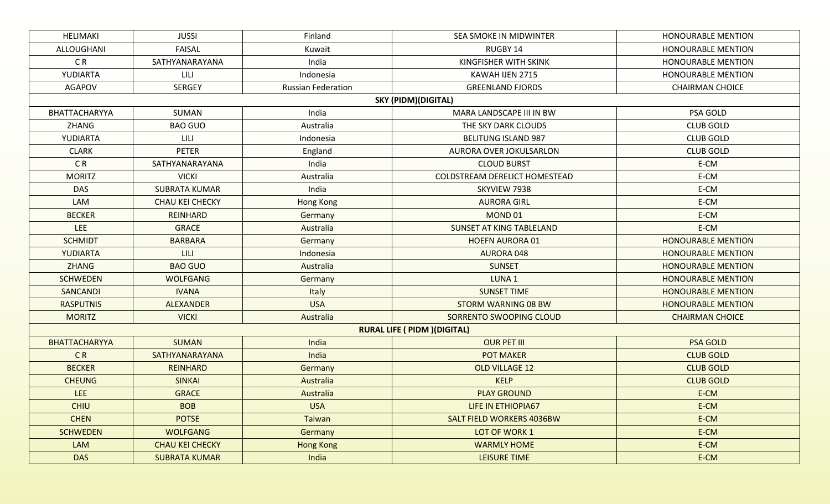| <b>HELIMAKI</b>      | <b>JUSSI</b>           | Finland                   | SEA SMOKE IN MIDWINTER               | HONOURABLE MENTION        |
|----------------------|------------------------|---------------------------|--------------------------------------|---------------------------|
| ALLOUGHANI           | FAISAL                 | Kuwait                    | RUGBY 14                             | <b>HONOURABLE MENTION</b> |
| C <sub>R</sub>       | SATHYANARAYANA         | India                     | KINGFISHER WITH SKINK                | <b>HONOURABLE MENTION</b> |
| YUDIARTA             | LILI                   | Indonesia                 | KAWAH IJEN 2715                      | HONOURABLE MENTION        |
| <b>AGAPOV</b>        | <b>SERGEY</b>          | <b>Russian Federation</b> | <b>GREENLAND FJORDS</b>              | <b>CHAIRMAN CHOICE</b>    |
|                      |                        |                           | <b>SKY (PIDM)(DIGITAL)</b>           |                           |
| BHATTACHARYYA        | SUMAN                  | India                     | MARA LANDSCAPE III IN BW             | PSA GOLD                  |
| ZHANG                | <b>BAO GUO</b>         | Australia                 | THE SKY DARK CLOUDS                  | <b>CLUB GOLD</b>          |
| YUDIARTA             | LILI                   | Indonesia                 | <b>BELITUNG ISLAND 987</b>           | <b>CLUB GOLD</b>          |
| <b>CLARK</b>         | <b>PETER</b>           | England                   | AURORA OVER JOKULSARLON              | <b>CLUB GOLD</b>          |
| C <sub>R</sub>       | SATHYANARAYANA         | India                     | <b>CLOUD BURST</b>                   | E-CM                      |
| <b>MORITZ</b>        | <b>VICKI</b>           | Australia                 | COLDSTREAM DERELICT HOMESTEAD        | E-CM                      |
| <b>DAS</b>           | <b>SUBRATA KUMAR</b>   | India                     | SKYVIEW 7938                         | E-CM                      |
| LAM                  | CHAU KEI CHECKY        | Hong Kong                 | <b>AURORA GIRL</b>                   | E-CM                      |
| <b>BECKER</b>        | REINHARD               | Germany                   | MOND <sub>01</sub>                   | E-CM                      |
| <b>LEE</b>           | <b>GRACE</b>           | Australia                 | SUNSET AT KING TABLELAND             | E-CM                      |
| <b>SCHMIDT</b>       | <b>BARBARA</b>         | Germany                   | <b>HOEFN AURORA 01</b>               | <b>HONOURABLE MENTION</b> |
| YUDIARTA             | <b>LILI</b>            | Indonesia                 | <b>AURORA 048</b>                    | <b>HONOURABLE MENTION</b> |
| <b>ZHANG</b>         | <b>BAO GUO</b>         | Australia                 | <b>SUNSET</b>                        | <b>HONOURABLE MENTION</b> |
| <b>SCHWEDEN</b>      | <b>WOLFGANG</b>        | Germany                   | LUNA <sub>1</sub>                    | <b>HONOURABLE MENTION</b> |
| <b>SANCANDI</b>      | <b>IVANA</b>           | Italy                     | <b>SUNSET TIME</b>                   | <b>HONOURABLE MENTION</b> |
| <b>RASPUTNIS</b>     | <b>ALEXANDER</b>       | <b>USA</b>                | STORM WARNING 08 BW                  | <b>HONOURABLE MENTION</b> |
| <b>MORITZ</b>        | <b>VICKI</b>           | Australia                 | SORRENTO SWOOPING CLOUD              | <b>CHAIRMAN CHOICE</b>    |
|                      |                        |                           | <b>RURAL LIFE ( PIDM ) (DIGITAL)</b> |                           |
| <b>BHATTACHARYYA</b> | <b>SUMAN</b>           | India                     | <b>OUR PET III</b>                   | <b>PSA GOLD</b>           |
| <b>CR</b>            | SATHYANARAYANA         | India                     | <b>POT MAKER</b>                     | <b>CLUB GOLD</b>          |
| <b>BECKER</b>        | <b>REINHARD</b>        | Germany                   | <b>OLD VILLAGE 12</b>                | <b>CLUB GOLD</b>          |
| <b>CHEUNG</b>        | <b>SINKAI</b>          | Australia                 | <b>KELP</b>                          | <b>CLUB GOLD</b>          |
| LEE.                 | <b>GRACE</b>           | Australia                 | <b>PLAY GROUND</b>                   | E-CM                      |
| <b>CHIU</b>          | <b>BOB</b>             | <b>USA</b>                | LIFE IN ETHIOPIA67                   | E-CM                      |
| <b>CHEN</b>          | <b>POTSE</b>           | Taiwan                    | <b>SALT FIELD WORKERS 4036BW</b>     | E-CM                      |
| <b>SCHWEDEN</b>      | <b>WOLFGANG</b>        | Germany                   | LOT OF WORK 1                        | E-CM                      |
| <b>LAM</b>           | <b>CHAU KEI CHECKY</b> | <b>Hong Kong</b>          | <b>WARMLY HOME</b>                   | E-CM                      |
| <b>DAS</b>           | <b>SUBRATA KUMAR</b>   | India                     | <b>LEISURE TIME</b>                  | E-CM                      |
|                      |                        |                           |                                      |                           |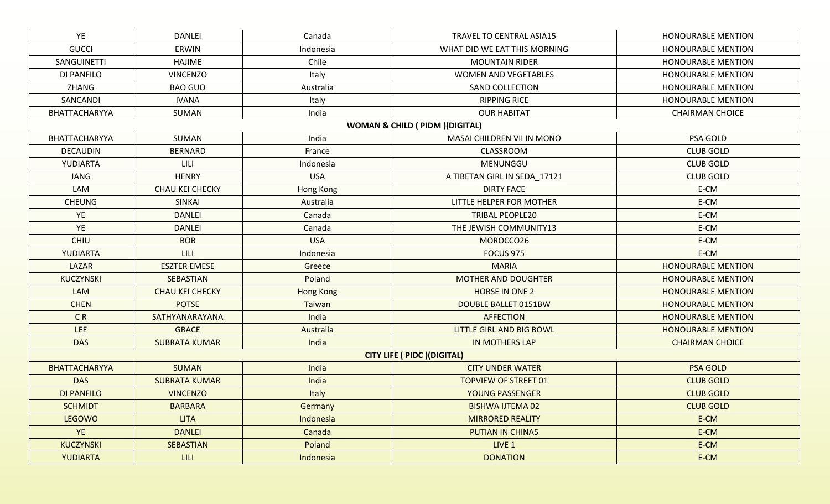| YE                                         | <b>DANLEI</b>          | Canada           | TRAVEL TO CENTRAL ASIA15           | <b>HONOURABLE MENTION</b> |  |  |  |  |  |
|--------------------------------------------|------------------------|------------------|------------------------------------|---------------------------|--|--|--|--|--|
| <b>GUCCI</b>                               | ERWIN                  | Indonesia        | WHAT DID WE EAT THIS MORNING       | <b>HONOURABLE MENTION</b> |  |  |  |  |  |
| SANGUINETTI                                | <b>HAJIME</b>          | Chile            | <b>MOUNTAIN RIDER</b>              | <b>HONOURABLE MENTION</b> |  |  |  |  |  |
| DI PANFILO                                 | <b>VINCENZO</b>        | Italy            | <b>WOMEN AND VEGETABLES</b>        | <b>HONOURABLE MENTION</b> |  |  |  |  |  |
| <b>ZHANG</b>                               | <b>BAO GUO</b>         | Australia        | <b>SAND COLLECTION</b>             | <b>HONOURABLE MENTION</b> |  |  |  |  |  |
| SANCANDI                                   | <b>IVANA</b>           | Italy            | <b>RIPPING RICE</b>                | <b>HONOURABLE MENTION</b> |  |  |  |  |  |
| BHATTACHARYYA                              | SUMAN                  | India            | <b>OUR HABITAT</b>                 | <b>CHAIRMAN CHOICE</b>    |  |  |  |  |  |
| <b>WOMAN &amp; CHILD ( PIDM )(DIGITAL)</b> |                        |                  |                                    |                           |  |  |  |  |  |
| BHATTACHARYYA                              | SUMAN                  | India            | MASAI CHILDREN VII IN MONO         | PSA GOLD                  |  |  |  |  |  |
| <b>DECAUDIN</b>                            | <b>BERNARD</b>         | France           | CLASSROOM                          | <b>CLUB GOLD</b>          |  |  |  |  |  |
| YUDIARTA                                   | <b>LILI</b>            | Indonesia        | MENUNGGU                           | <b>CLUB GOLD</b>          |  |  |  |  |  |
| JANG                                       | <b>HENRY</b>           | <b>USA</b>       | A TIBETAN GIRL IN SEDA_17121       | <b>CLUB GOLD</b>          |  |  |  |  |  |
| LAM                                        | <b>CHAU KEI CHECKY</b> | Hong Kong        | <b>DIRTY FACE</b>                  | E-CM                      |  |  |  |  |  |
| <b>CHEUNG</b>                              | <b>SINKAI</b>          | Australia        | LITTLE HELPER FOR MOTHER           | E-CM                      |  |  |  |  |  |
| YE                                         | <b>DANLEI</b>          | Canada           | <b>TRIBAL PEOPLE20</b>             | E-CM                      |  |  |  |  |  |
| YE                                         | <b>DANLEI</b>          | Canada           | THE JEWISH COMMUNITY13             | E-CM                      |  |  |  |  |  |
| <b>CHIU</b>                                | <b>BOB</b>             | <b>USA</b>       | MOROCCO26                          | E-CM                      |  |  |  |  |  |
| YUDIARTA                                   | <b>LILI</b>            | Indonesia        | <b>FOCUS 975</b>                   | E-CM                      |  |  |  |  |  |
| LAZAR                                      | <b>ESZTER EMESE</b>    | Greece           | <b>MARIA</b>                       | <b>HONOURABLE MENTION</b> |  |  |  |  |  |
| <b>KUCZYNSKI</b>                           | <b>SEBASTIAN</b>       | Poland           | <b>MOTHER AND DOUGHTER</b>         | <b>HONOURABLE MENTION</b> |  |  |  |  |  |
| LAM                                        | <b>CHAU KEI CHECKY</b> | <b>Hong Kong</b> | <b>HORSE IN ONE 2</b>              | <b>HONOURABLE MENTION</b> |  |  |  |  |  |
| <b>CHEN</b>                                | <b>POTSE</b>           | <b>Taiwan</b>    | <b>DOUBLE BALLET 0151BW</b>        | <b>HONOURABLE MENTION</b> |  |  |  |  |  |
| CR                                         | SATHYANARAYANA         | India            | <b>AFFECTION</b>                   | <b>HONOURABLE MENTION</b> |  |  |  |  |  |
| LEE                                        | <b>GRACE</b>           | Australia        | <b>LITTLE GIRL AND BIG BOWL</b>    | <b>HONOURABLE MENTION</b> |  |  |  |  |  |
| <b>DAS</b>                                 | <b>SUBRATA KUMAR</b>   | India            | <b>IN MOTHERS LAP</b>              | <b>CHAIRMAN CHOICE</b>    |  |  |  |  |  |
|                                            |                        |                  | <b>CITY LIFE ( PIDC )(DIGITAL)</b> |                           |  |  |  |  |  |
| <b>BHATTACHARYYA</b>                       | <b>SUMAN</b>           | India            | <b>CITY UNDER WATER</b>            | <b>PSA GOLD</b>           |  |  |  |  |  |
| <b>DAS</b>                                 | <b>SUBRATA KUMAR</b>   | India            | <b>TOPVIEW OF STREET 01</b>        | <b>CLUB GOLD</b>          |  |  |  |  |  |
| <b>DI PANFILO</b>                          | <b>VINCENZO</b>        | Italy            | <b>YOUNG PASSENGER</b>             | <b>CLUB GOLD</b>          |  |  |  |  |  |
| <b>SCHMIDT</b>                             | <b>BARBARA</b>         | Germany          | <b>BISHWA IJTEMA 02</b>            | <b>CLUB GOLD</b>          |  |  |  |  |  |
| <b>LEGOWO</b>                              | <b>LITA</b>            | Indonesia        | <b>MIRRORED REALITY</b>            | E-CM                      |  |  |  |  |  |
| <b>YE</b>                                  | <b>DANLEI</b>          | Canada           | <b>PUTIAN IN CHINA5</b>            | E-CM                      |  |  |  |  |  |
| <b>KUCZYNSKI</b>                           | <b>SEBASTIAN</b>       | Poland           | LIVE 1                             | E-CM                      |  |  |  |  |  |
| <b>YUDIARTA</b>                            | <b>LILI</b>            | Indonesia        | <b>DONATION</b>                    | E-CM                      |  |  |  |  |  |
|                                            |                        |                  |                                    |                           |  |  |  |  |  |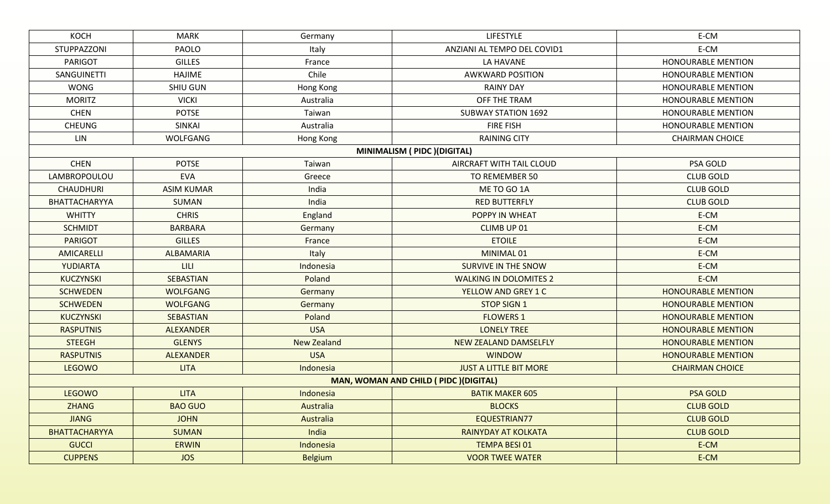| E-CM<br>E-CM<br><b>HONOURABLE MENTION</b><br><b>HONOURABLE MENTION</b><br><b>HONOURABLE MENTION</b><br>HONOURABLE MENTION<br><b>HONOURABLE MENTION</b><br><b>HONOURABLE MENTION</b><br><b>CHAIRMAN CHOICE</b><br>PSA GOLD<br><b>CLUB GOLD</b><br><b>CLUB GOLD</b> |
|-------------------------------------------------------------------------------------------------------------------------------------------------------------------------------------------------------------------------------------------------------------------|
|                                                                                                                                                                                                                                                                   |
|                                                                                                                                                                                                                                                                   |
|                                                                                                                                                                                                                                                                   |
|                                                                                                                                                                                                                                                                   |
|                                                                                                                                                                                                                                                                   |
|                                                                                                                                                                                                                                                                   |
|                                                                                                                                                                                                                                                                   |
|                                                                                                                                                                                                                                                                   |
|                                                                                                                                                                                                                                                                   |
|                                                                                                                                                                                                                                                                   |
|                                                                                                                                                                                                                                                                   |
|                                                                                                                                                                                                                                                                   |
|                                                                                                                                                                                                                                                                   |
| <b>CLUB GOLD</b>                                                                                                                                                                                                                                                  |
| E-CM                                                                                                                                                                                                                                                              |
| E-CM                                                                                                                                                                                                                                                              |
| E-CM                                                                                                                                                                                                                                                              |
| E-CM                                                                                                                                                                                                                                                              |
| E-CM                                                                                                                                                                                                                                                              |
| E-CM                                                                                                                                                                                                                                                              |
| <b>HONOURABLE MENTION</b>                                                                                                                                                                                                                                         |
| <b>HONOURABLE MENTION</b>                                                                                                                                                                                                                                         |
| <b>HONOURABLE MENTION</b>                                                                                                                                                                                                                                         |
| <b>HONOURABLE MENTION</b>                                                                                                                                                                                                                                         |
| <b>HONOURABLE MENTION</b>                                                                                                                                                                                                                                         |
| <b>HONOURABLE MENTION</b>                                                                                                                                                                                                                                         |
| <b>CHAIRMAN CHOICE</b>                                                                                                                                                                                                                                            |
|                                                                                                                                                                                                                                                                   |
| <b>PSA GOLD</b>                                                                                                                                                                                                                                                   |
| <b>CLUB GOLD</b>                                                                                                                                                                                                                                                  |
| <b>CLUB GOLD</b>                                                                                                                                                                                                                                                  |
| <b>CLUB GOLD</b>                                                                                                                                                                                                                                                  |
| E-CM                                                                                                                                                                                                                                                              |
| E-CM                                                                                                                                                                                                                                                              |
|                                                                                                                                                                                                                                                                   |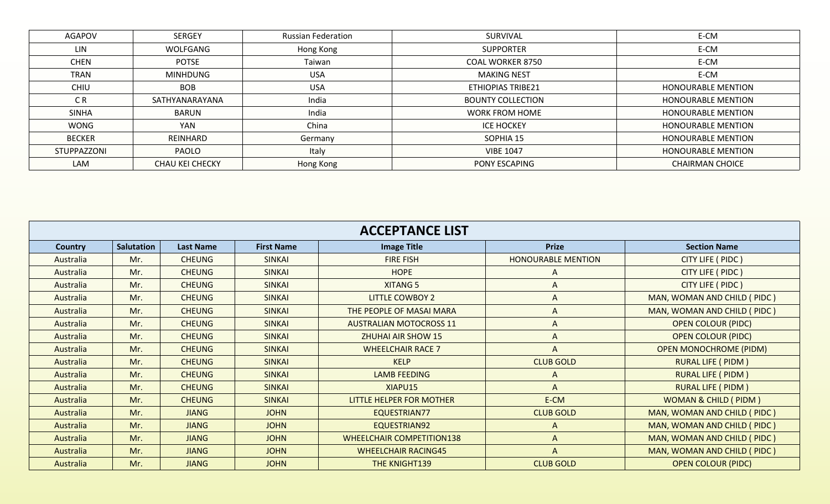| <b>AGAPOV</b> | <b>SERGEY</b>   | <b>Russian Federation</b> | SURVIVAL                 | E-CM                      |
|---------------|-----------------|---------------------------|--------------------------|---------------------------|
| LIN           | WOLFGANG        | Hong Kong                 | <b>SUPPORTER</b>         | E-CM                      |
| <b>CHEN</b>   | <b>POTSE</b>    | Taiwan                    | <b>COAL WORKER 8750</b>  | E-CM                      |
| <b>TRAN</b>   | <b>MINHDUNG</b> | <b>USA</b>                | <b>MAKING NEST</b>       | E-CM                      |
| <b>CHIU</b>   | <b>BOB</b>      | <b>USA</b>                | <b>ETHIOPIAS TRIBE21</b> | <b>HONOURABLE MENTION</b> |
| C R           | SATHYANARAYANA  | India                     | <b>BOUNTY COLLECTION</b> | <b>HONOURABLE MENTION</b> |
| <b>SINHA</b>  | BARUN           | India                     | <b>WORK FROM HOME</b>    | <b>HONOURABLE MENTION</b> |
| <b>WONG</b>   | <b>YAN</b>      | China                     | <b>ICE HOCKEY</b>        | <b>HONOURABLE MENTION</b> |
| <b>BECKER</b> | REINHARD        | Germany                   | SOPHIA 15                | <b>HONOURABLE MENTION</b> |
| STUPPAZZONI   | <b>PAOLO</b>    | Italy                     | <b>VIBE 1047</b>         | <b>HONOURABLE MENTION</b> |
| LAM           | CHAU KEI CHECKY | Hong Kong                 | PONY ESCAPING            | <b>CHAIRMAN CHOICE</b>    |
|               |                 |                           |                          |                           |

| <b>ACCEPTANCE LIST</b> |            |                  |                   |                                  |                           |                                 |  |
|------------------------|------------|------------------|-------------------|----------------------------------|---------------------------|---------------------------------|--|
| Country                | Salutation | <b>Last Name</b> | <b>First Name</b> | <b>Image Title</b>               | <b>Prize</b>              | <b>Section Name</b>             |  |
| Australia              | Mr.        | <b>CHEUNG</b>    | <b>SINKAI</b>     | <b>FIRE FISH</b>                 | <b>HONOURABLE MENTION</b> | CITY LIFE ( PIDC )              |  |
| Australia              | Mr.        | <b>CHEUNG</b>    | <b>SINKAI</b>     | <b>HOPE</b>                      | A                         | CITY LIFE ( PIDC )              |  |
| Australia              | Mr.        | <b>CHEUNG</b>    | <b>SINKAI</b>     | <b>XITANG 5</b>                  |                           | CITY LIFE ( PIDC )              |  |
| Australia              | Mr.        | <b>CHEUNG</b>    | <b>SINKAI</b>     | <b>LITTLE COWBOY 2</b>           | A                         | MAN, WOMAN AND CHILD (PIDC)     |  |
| Australia              | Mr.        | <b>CHEUNG</b>    | <b>SINKAI</b>     | THE PEOPLE OF MASAI MARA         | A                         | MAN, WOMAN AND CHILD (PIDC)     |  |
| Australia              | Mr.        | <b>CHEUNG</b>    | <b>SINKAI</b>     | <b>AUSTRALIAN MOTOCROSS 11</b>   | A                         | <b>OPEN COLOUR (PIDC)</b>       |  |
| Australia              | Mr.        | <b>CHEUNG</b>    | <b>SINKAI</b>     | <b>ZHUHAI AIR SHOW 15</b>        | A                         | <b>OPEN COLOUR (PIDC)</b>       |  |
| Australia              | Mr.        | <b>CHEUNG</b>    | <b>SINKAI</b>     | <b>WHEELCHAIR RACE 7</b>         |                           | <b>OPEN MONOCHROME (PIDM)</b>   |  |
| Australia              | Mr.        | <b>CHEUNG</b>    | <b>SINKAI</b>     | <b>KELP</b>                      | <b>CLUB GOLD</b>          | <b>RURAL LIFE ( PIDM )</b>      |  |
| Australia              | Mr.        | <b>CHEUNG</b>    | <b>SINKAI</b>     | <b>LAMB FEEDING</b>              | A                         | <b>RURAL LIFE ( PIDM )</b>      |  |
| Australia              | Mr.        | <b>CHEUNG</b>    | <b>SINKAI</b>     | XIAPU15                          | A                         | <b>RURAL LIFE ( PIDM )</b>      |  |
| Australia              | Mr.        | <b>CHEUNG</b>    | <b>SINKAI</b>     | <b>LITTLE HELPER FOR MOTHER</b>  | E-CM                      | <b>WOMAN &amp; CHILD (PIDM)</b> |  |
| Australia              | Mr.        | <b>JIANG</b>     | <b>JOHN</b>       | EQUESTRIAN77                     | <b>CLUB GOLD</b>          | MAN, WOMAN AND CHILD (PIDC)     |  |
| Australia              | Mr.        | <b>JIANG</b>     | <b>JOHN</b>       | EQUESTRIAN92                     | A                         | MAN, WOMAN AND CHILD (PIDC)     |  |
| Australia              | Mr.        | <b>JIANG</b>     | <b>JOHN</b>       | <b>WHEELCHAIR COMPETITION138</b> | A                         | MAN, WOMAN AND CHILD (PIDC)     |  |
| Australia              | Mr.        | <b>JIANG</b>     | <b>JOHN</b>       | <b>WHEELCHAIR RACING45</b>       | A                         | MAN, WOMAN AND CHILD (PIDC)     |  |
| Australia              | Mr.        | <b>JIANG</b>     | <b>JOHN</b>       | THE KNIGHT139                    | <b>CLUB GOLD</b>          | <b>OPEN COLOUR (PIDC)</b>       |  |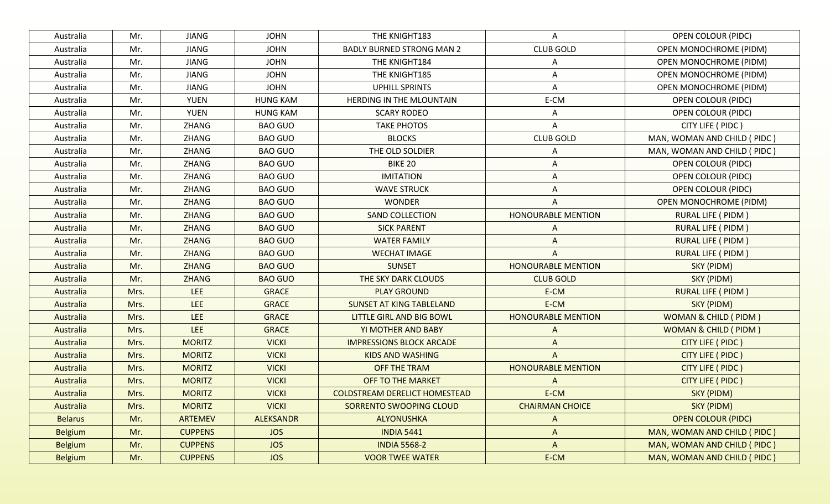| Australia      | Mr.  | <b>JIANG</b>   | <b>JOHN</b>      | THE KNIGHT183                        | A                         | <b>OPEN COLOUR (PIDC)</b>       |
|----------------|------|----------------|------------------|--------------------------------------|---------------------------|---------------------------------|
| Australia      | Mr.  | <b>JIANG</b>   | <b>JOHN</b>      | <b>BADLY BURNED STRONG MAN 2</b>     | <b>CLUB GOLD</b>          | <b>OPEN MONOCHROME (PIDM)</b>   |
| Australia      | Mr.  | <b>JIANG</b>   | <b>JOHN</b>      | THE KNIGHT184                        | Α                         | OPEN MONOCHROME (PIDM)          |
| Australia      | Mr.  | <b>JIANG</b>   | <b>JOHN</b>      | THE KNIGHT185                        | A                         | <b>OPEN MONOCHROME (PIDM)</b>   |
| Australia      | Mr.  | <b>JIANG</b>   | <b>JOHN</b>      | <b>UPHILL SPRINTS</b>                | A                         | OPEN MONOCHROME (PIDM)          |
| Australia      | Mr.  | <b>YUEN</b>    | <b>HUNG KAM</b>  | HERDING IN THE MLOUNTAIN             | E-CM                      | OPEN COLOUR (PIDC)              |
| Australia      | Mr.  | YUEN           | <b>HUNG KAM</b>  | <b>SCARY RODEO</b>                   | Α                         | <b>OPEN COLOUR (PIDC)</b>       |
| Australia      | Mr.  | ZHANG          | <b>BAO GUO</b>   | <b>TAKE PHOTOS</b>                   | A                         | CITY LIFE ( PIDC )              |
| Australia      | Mr.  | ZHANG          | <b>BAO GUO</b>   | <b>BLOCKS</b>                        | <b>CLUB GOLD</b>          | MAN, WOMAN AND CHILD ( PIDC )   |
| Australia      | Mr.  | ZHANG          | <b>BAO GUO</b>   | THE OLD SOLDIER                      | A                         | MAN, WOMAN AND CHILD (PIDC)     |
| Australia      | Mr.  | ZHANG          | <b>BAO GUO</b>   | <b>BIKE 20</b>                       | A                         | <b>OPEN COLOUR (PIDC)</b>       |
| Australia      | Mr.  | ZHANG          | <b>BAO GUO</b>   | <b>IMITATION</b>                     | A                         | <b>OPEN COLOUR (PIDC)</b>       |
| Australia      | Mr.  | ZHANG          | <b>BAO GUO</b>   | <b>WAVE STRUCK</b>                   | A                         | <b>OPEN COLOUR (PIDC)</b>       |
| Australia      | Mr.  | ZHANG          | <b>BAO GUO</b>   | <b>WONDER</b>                        | A                         | <b>OPEN MONOCHROME (PIDM)</b>   |
| Australia      | Mr.  | <b>ZHANG</b>   | <b>BAO GUO</b>   | <b>SAND COLLECTION</b>               | <b>HONOURABLE MENTION</b> | <b>RURAL LIFE ( PIDM )</b>      |
| Australia      | Mr.  | ZHANG          | <b>BAO GUO</b>   | <b>SICK PARENT</b>                   | A                         | <b>RURAL LIFE ( PIDM )</b>      |
| Australia      | Mr.  | <b>ZHANG</b>   | <b>BAO GUO</b>   | <b>WATER FAMILY</b>                  | A                         | <b>RURAL LIFE ( PIDM )</b>      |
| Australia      | Mr.  | <b>ZHANG</b>   | <b>BAO GUO</b>   | <b>WECHAT IMAGE</b>                  | A                         | <b>RURAL LIFE ( PIDM )</b>      |
| Australia      | Mr.  | <b>ZHANG</b>   | <b>BAO GUO</b>   | <b>SUNSET</b>                        | <b>HONOURABLE MENTION</b> | SKY (PIDM)                      |
| Australia      | Mr.  | <b>ZHANG</b>   | <b>BAO GUO</b>   | THE SKY DARK CLOUDS                  | <b>CLUB GOLD</b>          | SKY (PIDM)                      |
| Australia      | Mrs. | <b>LEE</b>     | <b>GRACE</b>     | <b>PLAY GROUND</b>                   | E-CM                      | <b>RURAL LIFE ( PIDM )</b>      |
| Australia      | Mrs. | LEE            | <b>GRACE</b>     | <b>SUNSET AT KING TABLELAND</b>      | E-CM                      | SKY (PIDM)                      |
| Australia      | Mrs. | LEE            | <b>GRACE</b>     | LITTLE GIRL AND BIG BOWL             | <b>HONOURABLE MENTION</b> | <b>WOMAN &amp; CHILD (PIDM)</b> |
| Australia      | Mrs. | LEE            | <b>GRACE</b>     | YI MOTHER AND BABY                   | A                         | <b>WOMAN &amp; CHILD (PIDM)</b> |
| Australia      | Mrs. | <b>MORITZ</b>  | <b>VICKI</b>     | <b>IMPRESSIONS BLOCK ARCADE</b>      | A                         | CITY LIFE ( PIDC )              |
| Australia      | Mrs. | <b>MORITZ</b>  | <b>VICKI</b>     | <b>KIDS AND WASHING</b>              | A                         | CITY LIFE ( PIDC )              |
| Australia      | Mrs. | <b>MORITZ</b>  | <b>VICKI</b>     | <b>OFF THE TRAM</b>                  | <b>HONOURABLE MENTION</b> | CITY LIFE ( PIDC )              |
| Australia      | Mrs. | <b>MORITZ</b>  | <b>VICKI</b>     | <b>OFF TO THE MARKET</b>             | A                         | CITY LIFE ( PIDC )              |
| Australia      | Mrs. | <b>MORITZ</b>  | <b>VICKI</b>     | <b>COLDSTREAM DERELICT HOMESTEAD</b> | E-CM                      | SKY (PIDM)                      |
| Australia      | Mrs. | <b>MORITZ</b>  | <b>VICKI</b>     | SORRENTO SWOOPING CLOUD              | <b>CHAIRMAN CHOICE</b>    | SKY (PIDM)                      |
| <b>Belarus</b> | Mr.  | ARTEMEV        | <b>ALEKSANDR</b> | ALYONUSHKA                           | A                         | <b>OPEN COLOUR (PIDC)</b>       |
| <b>Belgium</b> | Mr.  | <b>CUPPENS</b> | <b>JOS</b>       | <b>INDIA 5441</b>                    | $\Lambda$                 | MAN, WOMAN AND CHILD (PIDC)     |
| <b>Belgium</b> | Mr.  | <b>CUPPENS</b> | <b>JOS</b>       | <b>INDIA 5568-2</b>                  | A                         | MAN, WOMAN AND CHILD ( PIDC )   |
| <b>Belgium</b> | Mr.  | <b>CUPPENS</b> | <b>JOS</b>       | <b>VOOR TWEE WATER</b>               | E-CM                      | MAN, WOMAN AND CHILD (PIDC)     |
|                |      |                |                  |                                      |                           |                                 |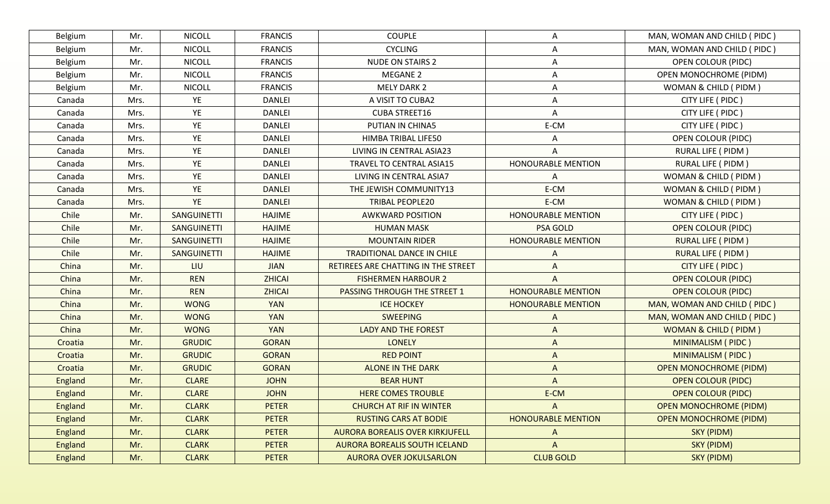| Belgium | Mr.  | <b>NICOLL</b>      | <b>FRANCIS</b> | <b>COUPLE</b>                          | Α                         | MAN, WOMAN AND CHILD (PIDC)     |
|---------|------|--------------------|----------------|----------------------------------------|---------------------------|---------------------------------|
| Belgium | Mr.  | <b>NICOLL</b>      | <b>FRANCIS</b> | <b>CYCLING</b>                         | Α                         | MAN, WOMAN AND CHILD (PIDC)     |
| Belgium | Mr.  | <b>NICOLL</b>      | <b>FRANCIS</b> | <b>NUDE ON STAIRS 2</b>                | Α                         | OPEN COLOUR (PIDC)              |
| Belgium | Mr.  | <b>NICOLL</b>      | <b>FRANCIS</b> | <b>MEGANE 2</b>                        | A                         | <b>OPEN MONOCHROME (PIDM)</b>   |
| Belgium | Mr.  | <b>NICOLL</b>      | <b>FRANCIS</b> | <b>MELY DARK 2</b>                     | Α                         | WOMAN & CHILD ( PIDM )          |
| Canada  | Mrs. | YE                 | <b>DANLEI</b>  | A VISIT TO CUBA2                       | A                         | CITY LIFE ( PIDC )              |
| Canada  | Mrs. | YE                 | <b>DANLEI</b>  | <b>CUBA STREET16</b>                   | Α                         | CITY LIFE ( PIDC )              |
| Canada  | Mrs. | YE                 | <b>DANLEI</b>  | PUTIAN IN CHINA5                       | E-CM                      | CITY LIFE ( PIDC )              |
| Canada  | Mrs. | YE                 | <b>DANLEI</b>  | HIMBA TRIBAL LIFE50                    | A                         | <b>OPEN COLOUR (PIDC)</b>       |
| Canada  | Mrs. | YE                 | <b>DANLEI</b>  | LIVING IN CENTRAL ASIA23               | A                         | <b>RURAL LIFE ( PIDM )</b>      |
| Canada  | Mrs. | YE                 | DANLEI         | TRAVEL TO CENTRAL ASIA15               | <b>HONOURABLE MENTION</b> | RURAL LIFE ( PIDM )             |
| Canada  | Mrs. | YE                 | <b>DANLEI</b>  | LIVING IN CENTRAL ASIA7                | Α                         | WOMAN & CHILD ( PIDM )          |
| Canada  | Mrs. | YE                 | <b>DANLEI</b>  | THE JEWISH COMMUNITY13                 | E-CM                      | WOMAN & CHILD (PIDM)            |
| Canada  | Mrs. | YE                 | <b>DANLEI</b>  | <b>TRIBAL PEOPLE20</b>                 | E-CM                      | WOMAN & CHILD (PIDM)            |
| Chile   | Mr.  | <b>SANGUINETTI</b> | <b>HAJIME</b>  | <b>AWKWARD POSITION</b>                | <b>HONOURABLE MENTION</b> | CITY LIFE ( PIDC )              |
| Chile   | Mr.  | SANGUINETTI        | <b>HAJIME</b>  | <b>HUMAN MASK</b>                      | PSA GOLD                  | <b>OPEN COLOUR (PIDC)</b>       |
| Chile   | Mr.  | SANGUINETTI        | <b>HAJIME</b>  | <b>MOUNTAIN RIDER</b>                  | <b>HONOURABLE MENTION</b> | RURAL LIFE ( PIDM )             |
| Chile   | Mr.  | <b>SANGUINETTI</b> | <b>HAJIME</b>  | <b>TRADITIONAL DANCE IN CHILE</b>      | A                         | <b>RURAL LIFE ( PIDM )</b>      |
| China   | Mr.  | LIU                | <b>JIAN</b>    | RETIREES ARE CHATTING IN THE STREET    | A                         | CITY LIFE ( PIDC )              |
| China   | Mr.  | <b>REN</b>         | <b>ZHICAI</b>  | <b>FISHERMEN HARBOUR 2</b>             | Α                         | <b>OPEN COLOUR (PIDC)</b>       |
| China   | Mr.  | <b>REN</b>         | <b>ZHICAI</b>  | <b>PASSING THROUGH THE STREET 1</b>    | <b>HONOURABLE MENTION</b> | <b>OPEN COLOUR (PIDC)</b>       |
| China   | Mr.  | <b>WONG</b>        | <b>YAN</b>     | <b>ICE HOCKEY</b>                      | <b>HONOURABLE MENTION</b> | MAN, WOMAN AND CHILD (PIDC)     |
| China   | Mr.  | <b>WONG</b>        | <b>YAN</b>     | <b>SWEEPING</b>                        | A                         | MAN, WOMAN AND CHILD (PIDC)     |
| China   | Mr.  | <b>WONG</b>        | <b>YAN</b>     | <b>LADY AND THE FOREST</b>             | $\Lambda$                 | <b>WOMAN &amp; CHILD (PIDM)</b> |
| Croatia | Mr.  | <b>GRUDIC</b>      | <b>GORAN</b>   | <b>LONELY</b>                          | $\Lambda$                 | <b>MINIMALISM (PIDC)</b>        |
| Croatia | Mr.  | <b>GRUDIC</b>      | <b>GORAN</b>   | <b>RED POINT</b>                       | A                         | <b>MINIMALISM (PIDC)</b>        |
| Croatia | Mr.  | <b>GRUDIC</b>      | <b>GORAN</b>   | <b>ALONE IN THE DARK</b>               | A                         | <b>OPEN MONOCHROME (PIDM)</b>   |
| England | Mr.  | <b>CLARE</b>       | <b>JOHN</b>    | <b>BEAR HUNT</b>                       | A                         | <b>OPEN COLOUR (PIDC)</b>       |
| England | Mr.  | <b>CLARE</b>       | <b>JOHN</b>    | <b>HERE COMES TROUBLE</b>              | E-CM                      | <b>OPEN COLOUR (PIDC)</b>       |
| England | Mr.  | <b>CLARK</b>       | <b>PETER</b>   | <b>CHURCH AT RIF IN WINTER</b>         | A                         | <b>OPEN MONOCHROME (PIDM)</b>   |
| England | Mr.  | <b>CLARK</b>       | <b>PETER</b>   | <b>RUSTING CARS AT BODIE</b>           | <b>HONOURABLE MENTION</b> | <b>OPEN MONOCHROME (PIDM)</b>   |
| England | Mr.  | <b>CLARK</b>       | <b>PETER</b>   | <b>AURORA BOREALIS OVER KIRKJUFELL</b> | A                         | SKY (PIDM)                      |
| England | Mr.  | <b>CLARK</b>       | <b>PETER</b>   | <b>AURORA BOREALIS SOUTH ICELAND</b>   | $\Lambda$                 | SKY (PIDM)                      |
| England | Mr.  | <b>CLARK</b>       | <b>PETER</b>   | <b>AURORA OVER JOKULSARLON</b>         | <b>CLUB GOLD</b>          | SKY (PIDM)                      |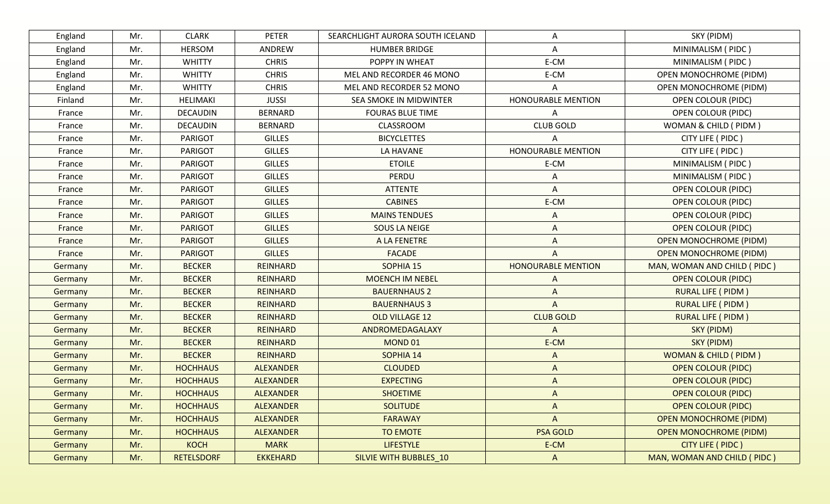| England | Mr. | <b>CLARK</b>      | <b>PETER</b>     | SEARCHLIGHT AURORA SOUTH ICELAND | A                         | SKY (PIDM)                      |
|---------|-----|-------------------|------------------|----------------------------------|---------------------------|---------------------------------|
| England | Mr. | <b>HERSOM</b>     | ANDREW           | <b>HUMBER BRIDGE</b>             | Α                         |                                 |
| England | Mr. | <b>WHITTY</b>     | <b>CHRIS</b>     | POPPY IN WHEAT                   | E-CM                      | MINIMALISM (PIDC)               |
| England | Mr. | <b>WHITTY</b>     | <b>CHRIS</b>     | MEL AND RECORDER 46 MONO         | E-CM                      | <b>OPEN MONOCHROME (PIDM)</b>   |
| England | Mr. | <b>WHITTY</b>     | <b>CHRIS</b>     | MEL AND RECORDER 52 MONO         |                           | <b>OPEN MONOCHROME (PIDM)</b>   |
| Finland | Mr. | <b>HELIMAKI</b>   | <b>JUSSI</b>     | SEA SMOKE IN MIDWINTER           | <b>HONOURABLE MENTION</b> | <b>OPEN COLOUR (PIDC)</b>       |
| France  | Mr. | <b>DECAUDIN</b>   | <b>BERNARD</b>   | <b>FOURAS BLUE TIME</b>          | Α                         | <b>OPEN COLOUR (PIDC)</b>       |
| France  | Mr. | DECAUDIN          | <b>BERNARD</b>   | CLASSROOM                        | <b>CLUB GOLD</b>          | WOMAN & CHILD (PIDM)            |
| France  | Mr. | <b>PARIGOT</b>    | <b>GILLES</b>    | <b>BICYCLETTES</b>               |                           | CITY LIFE ( PIDC )              |
| France  | Mr. | <b>PARIGOT</b>    | <b>GILLES</b>    | <b>LA HAVANE</b>                 | <b>HONOURABLE MENTION</b> | CITY LIFE ( PIDC )              |
| France  | Mr. | <b>PARIGOT</b>    | <b>GILLES</b>    | <b>ETOILE</b>                    | E-CM                      | MINIMALISM (PIDC)               |
| France  | Mr. | <b>PARIGOT</b>    | <b>GILLES</b>    | PERDU                            | Α                         | MINIMALISM (PIDC)               |
| France  | Mr. | <b>PARIGOT</b>    | <b>GILLES</b>    | <b>ATTENTE</b>                   | A                         | <b>OPEN COLOUR (PIDC)</b>       |
| France  | Mr. | <b>PARIGOT</b>    | <b>GILLES</b>    | <b>CABINES</b>                   | E-CM                      | <b>OPEN COLOUR (PIDC)</b>       |
| France  | Mr. | <b>PARIGOT</b>    | <b>GILLES</b>    | <b>MAINS TENDUES</b>             | A                         | <b>OPEN COLOUR (PIDC)</b>       |
| France  | Mr. | <b>PARIGOT</b>    | <b>GILLES</b>    | SOUS LA NEIGE                    | A                         | <b>OPEN COLOUR (PIDC)</b>       |
| France  | Mr. | <b>PARIGOT</b>    | <b>GILLES</b>    | A LA FENETRE                     |                           | <b>OPEN MONOCHROME (PIDM)</b>   |
| France  | Mr. | <b>PARIGOT</b>    | <b>GILLES</b>    | <b>FACADE</b>                    | A                         | <b>OPEN MONOCHROME (PIDM)</b>   |
| Germany | Mr. | <b>BECKER</b>     | <b>REINHARD</b>  | SOPHIA 15                        | <b>HONOURABLE MENTION</b> | MAN, WOMAN AND CHILD (PIDC)     |
| Germany | Mr. | <b>BECKER</b>     | <b>REINHARD</b>  | <b>MOENCH IM NEBEL</b>           | A                         | <b>OPEN COLOUR (PIDC)</b>       |
| Germany | Mr. | <b>BECKER</b>     | <b>REINHARD</b>  | <b>BAUERNHAUS 2</b>              | A                         | <b>RURAL LIFE ( PIDM )</b>      |
| Germany | Mr. | <b>BECKER</b>     | <b>REINHARD</b>  | <b>BAUERNHAUS 3</b>              | $\Lambda$                 | <b>RURAL LIFE ( PIDM )</b>      |
| Germany | Mr. | <b>BECKER</b>     | <b>REINHARD</b>  | OLD VILLAGE 12                   | <b>CLUB GOLD</b>          | <b>RURAL LIFE ( PIDM )</b>      |
| Germany | Mr. | <b>BECKER</b>     | <b>REINHARD</b>  | ANDROMEDAGALAXY                  | $\wedge$                  | SKY (PIDM)                      |
| Germany | Mr. | <b>BECKER</b>     | <b>REINHARD</b>  | <b>MOND 01</b>                   | E-CM                      | SKY (PIDM)                      |
| Germany | Mr. | <b>BECKER</b>     | <b>REINHARD</b>  | SOPHIA 14                        | $\Lambda$                 | <b>WOMAN &amp; CHILD (PIDM)</b> |
| Germany | Mr. | <b>HOCHHAUS</b>   | <b>ALEXANDER</b> | <b>CLOUDED</b>                   | A                         | <b>OPEN COLOUR (PIDC)</b>       |
| Germany | Mr. | <b>HOCHHAUS</b>   | <b>ALEXANDER</b> | <b>EXPECTING</b>                 | A                         | <b>OPEN COLOUR (PIDC)</b>       |
| Germany | Mr. | <b>HOCHHAUS</b>   | <b>ALEXANDER</b> | <b>SHOETIME</b>                  | A                         | <b>OPEN COLOUR (PIDC)</b>       |
| Germany | Mr. | <b>HOCHHAUS</b>   | <b>ALEXANDER</b> | <b>SOLITUDE</b>                  | A                         | <b>OPEN COLOUR (PIDC)</b>       |
| Germany | Mr. | <b>HOCHHAUS</b>   | ALEXANDER        | <b>FARAWAY</b>                   | $\Lambda$                 | <b>OPEN MONOCHROME (PIDM)</b>   |
| Germany | Mr. | <b>HOCHHAUS</b>   | <b>ALEXANDER</b> | <b>TO EMOTE</b>                  | <b>PSA GOLD</b>           | <b>OPEN MONOCHROME (PIDM)</b>   |
| Germany | Mr. | <b>KOCH</b>       | <b>MARK</b>      | <b>LIFESTYLE</b>                 | E-CM                      | CITY LIFE ( PIDC )              |
| Germany | Mr. | <b>RETELSDORF</b> | <b>EKKEHARD</b>  | SILVIE WITH BUBBLES_10           | A                         | MAN, WOMAN AND CHILD (PIDC)     |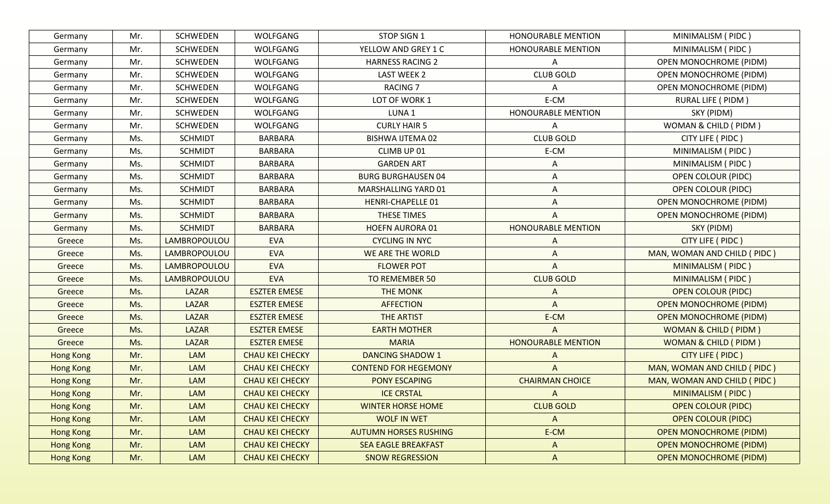| Mr. | <b>SCHWEDEN</b> | WOLFGANG               | STOP SIGN 1                  | <b>HONOURABLE MENTION</b> | MINIMALISM (PIDC)               |
|-----|-----------------|------------------------|------------------------------|---------------------------|---------------------------------|
| Mr. | <b>SCHWEDEN</b> | <b>WOLFGANG</b>        | YELLOW AND GREY 1 C          | <b>HONOURABLE MENTION</b> | MINIMALISM (PIDC)               |
| Mr. | <b>SCHWEDEN</b> | <b>WOLFGANG</b>        | <b>HARNESS RACING 2</b>      | A                         | OPEN MONOCHROME (PIDM)          |
| Mr. | SCHWEDEN        | WOLFGANG               | <b>LAST WEEK 2</b>           | <b>CLUB GOLD</b>          | <b>OPEN MONOCHROME (PIDM)</b>   |
| Mr. | <b>SCHWEDEN</b> | <b>WOLFGANG</b>        | <b>RACING 7</b>              | Α                         | <b>OPEN MONOCHROME (PIDM)</b>   |
| Mr. | SCHWEDEN        | WOLFGANG               | LOT OF WORK 1                | E-CM                      | RURAL LIFE ( PIDM )             |
| Mr. | SCHWEDEN        | WOLFGANG               | LUNA 1                       | <b>HONOURABLE MENTION</b> | SKY (PIDM)                      |
| Mr. | <b>SCHWEDEN</b> | <b>WOLFGANG</b>        | <b>CURLY HAIR 5</b>          | A                         | WOMAN & CHILD ( PIDM )          |
| Ms. | <b>SCHMIDT</b>  | <b>BARBARA</b>         | <b>BISHWA IJTEMA 02</b>      | <b>CLUB GOLD</b>          | CITY LIFE ( PIDC )              |
| Ms. | <b>SCHMIDT</b>  | <b>BARBARA</b>         | CLIMB UP 01                  | E-CM                      | MINIMALISM (PIDC)               |
| Ms. | <b>SCHMIDT</b>  | <b>BARBARA</b>         | <b>GARDEN ART</b>            | A                         | MINIMALISM (PIDC)               |
| Ms. | <b>SCHMIDT</b>  | <b>BARBARA</b>         | <b>BURG BURGHAUSEN 04</b>    | Α                         | <b>OPEN COLOUR (PIDC)</b>       |
| Ms. | <b>SCHMIDT</b>  | <b>BARBARA</b>         | MARSHALLING YARD 01          | A                         | <b>OPEN COLOUR (PIDC)</b>       |
| Ms. | <b>SCHMIDT</b>  | <b>BARBARA</b>         | <b>HENRI-CHAPELLE 01</b>     | A                         | <b>OPEN MONOCHROME (PIDM)</b>   |
| Ms. | <b>SCHMIDT</b>  | <b>BARBARA</b>         | THESE TIMES                  | A                         | <b>OPEN MONOCHROME (PIDM)</b>   |
| Ms. | <b>SCHMIDT</b>  | <b>BARBARA</b>         | <b>HOEFN AURORA 01</b>       | <b>HONOURABLE MENTION</b> | SKY (PIDM)                      |
| Ms. | LAMBROPOULOU    | <b>EVA</b>             | <b>CYCLING IN NYC</b>        | A                         | CITY LIFE ( PIDC )              |
| Ms. | LAMBROPOULOU    | <b>EVA</b>             | WE ARE THE WORLD             | A                         | MAN, WOMAN AND CHILD (PIDC)     |
| Ms. | LAMBROPOULOU    | <b>EVA</b>             | <b>FLOWER POT</b>            | A                         | MINIMALISM ( PIDC )             |
| Ms. | LAMBROPOULOU    | <b>EVA</b>             | <b>TO REMEMBER 50</b>        | <b>CLUB GOLD</b>          | MINIMALISM (PIDC)               |
| Ms. | LAZAR           | <b>ESZTER EMESE</b>    | <b>THE MONK</b>              | A                         | <b>OPEN COLOUR (PIDC)</b>       |
| Ms. | <b>LAZAR</b>    | <b>ESZTER EMESE</b>    | <b>AFFECTION</b>             | $\wedge$                  | <b>OPEN MONOCHROME (PIDM)</b>   |
| Ms. | <b>LAZAR</b>    | <b>ESZTER EMESE</b>    | <b>THE ARTIST</b>            | E-CM                      | <b>OPEN MONOCHROME (PIDM)</b>   |
| Ms. | <b>LAZAR</b>    | <b>ESZTER EMESE</b>    | <b>EARTH MOTHER</b>          | $\Lambda$                 | <b>WOMAN &amp; CHILD (PIDM)</b> |
| Ms. | <b>LAZAR</b>    | <b>ESZTER EMESE</b>    | <b>MARIA</b>                 | <b>HONOURABLE MENTION</b> | <b>WOMAN &amp; CHILD (PIDM)</b> |
| Mr. | LAM             | <b>CHAU KEI CHECKY</b> | <b>DANCING SHADOW 1</b>      | A                         | CITY LIFE ( PIDC )              |
| Mr. | LAM             | <b>CHAU KEI CHECKY</b> | <b>CONTEND FOR HEGEMONY</b>  | A                         | MAN, WOMAN AND CHILD ( PIDC )   |
| Mr. | LAM             | <b>CHAU KEI CHECKY</b> | <b>PONY ESCAPING</b>         | <b>CHAIRMAN CHOICE</b>    | MAN, WOMAN AND CHILD ( PIDC )   |
| Mr. | LAM             | <b>CHAU KEI CHECKY</b> | <b>ICE CRSTAL</b>            | A                         | <b>MINIMALISM (PIDC)</b>        |
| Mr. | LAM             | <b>CHAU KEI CHECKY</b> | <b>WINTER HORSE HOME</b>     | <b>CLUB GOLD</b>          | <b>OPEN COLOUR (PIDC)</b>       |
| Mr. | LAM             | <b>CHAU KEI CHECKY</b> | <b>WOLF IN WET</b>           | $\boldsymbol{\mathsf{A}}$ | <b>OPEN COLOUR (PIDC)</b>       |
| Mr. | LAM             | <b>CHAU KEI CHECKY</b> | <b>AUTUMN HORSES RUSHING</b> | E-CM                      | <b>OPEN MONOCHROME (PIDM)</b>   |
| Mr. | LAM             | <b>CHAU KEI CHECKY</b> | <b>SEA EAGLE BREAKFAST</b>   | A                         | <b>OPEN MONOCHROME (PIDM)</b>   |
| Mr. | LAM             | <b>CHAU KEI CHECKY</b> | <b>SNOW REGRESSION</b>       | $\boldsymbol{\mathsf{A}}$ | <b>OPEN MONOCHROME (PIDM)</b>   |
|     |                 |                        |                              |                           |                                 |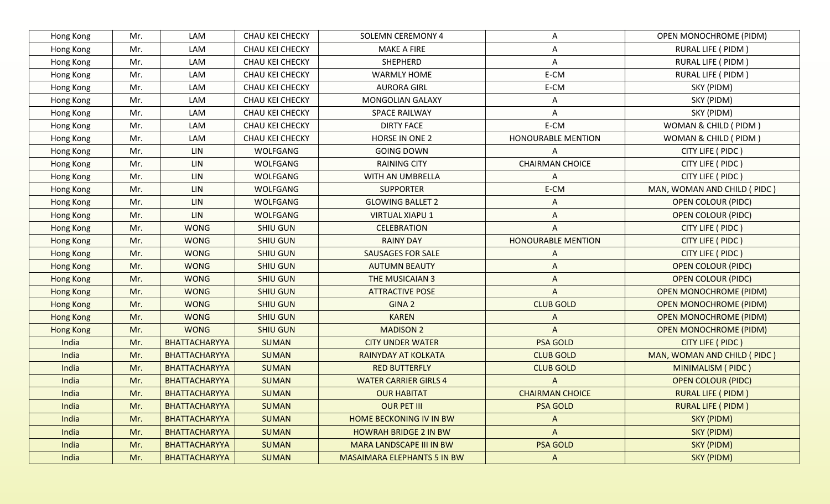| Hong Kong        | Mr. | LAM                  | CHAU KEI CHECKY | <b>SOLEMN CEREMONY 4</b>     | A                         | <b>OPEN MONOCHROME (PIDM)</b> |
|------------------|-----|----------------------|-----------------|------------------------------|---------------------------|-------------------------------|
| Hong Kong        | Mr. | LAM                  | CHAU KEI CHECKY | <b>MAKE A FIRE</b>           | A                         | RURAL LIFE ( PIDM )           |
| Hong Kong        | Mr. | LAM                  | CHAU KEI CHECKY | SHEPHERD                     | A                         | <b>RURAL LIFE ( PIDM )</b>    |
| Hong Kong        | Mr. | LAM                  | CHAU KEI CHECKY | <b>WARMLY HOME</b>           | E-CM                      | RURAL LIFE ( PIDM )           |
| Hong Kong        | Mr. | LAM                  | CHAU KEI CHECKY | <b>AURORA GIRL</b>           | E-CM                      | SKY (PIDM)                    |
| Hong Kong        | Mr. | LAM                  | CHAU KEI CHECKY | MONGOLIAN GALAXY             | A                         | SKY (PIDM)                    |
| Hong Kong        | Mr. | LAM                  | CHAU KEI CHECKY | <b>SPACE RAILWAY</b>         | Α                         | SKY (PIDM)                    |
| Hong Kong        | Mr. | LAM                  | CHAU KEI CHECKY | <b>DIRTY FACE</b>            | E-CM                      | WOMAN & CHILD ( PIDM )        |
| Hong Kong        | Mr. | LAM                  | CHAU KEI CHECKY | HORSE IN ONE 2               | <b>HONOURABLE MENTION</b> | WOMAN & CHILD (PIDM)          |
| Hong Kong        | Mr. | LIN                  | <b>WOLFGANG</b> | <b>GOING DOWN</b>            | Α                         | CITY LIFE ( PIDC )            |
| Hong Kong        | Mr. | LIN                  | WOLFGANG        | <b>RAINING CITY</b>          | <b>CHAIRMAN CHOICE</b>    | CITY LIFE ( PIDC )            |
| Hong Kong        | Mr. | LIN                  | <b>WOLFGANG</b> | WITH AN UMBRELLA             | A                         | CITY LIFE ( PIDC )            |
| Hong Kong        | Mr. | LIN                  | <b>WOLFGANG</b> | <b>SUPPORTER</b>             | E-CM                      | MAN, WOMAN AND CHILD (PIDC)   |
| Hong Kong        | Mr. | LIN                  | <b>WOLFGANG</b> | <b>GLOWING BALLET 2</b>      | Α                         | <b>OPEN COLOUR (PIDC)</b>     |
| Hong Kong        | Mr. | LIN                  | <b>WOLFGANG</b> | <b>VIRTUAL XIAPU 1</b>       | Α                         | <b>OPEN COLOUR (PIDC)</b>     |
| Hong Kong        | Mr. | <b>WONG</b>          | <b>SHIU GUN</b> | <b>CELEBRATION</b>           |                           | CITY LIFE ( PIDC )            |
| Hong Kong        | Mr. | <b>WONG</b>          | <b>SHIU GUN</b> | <b>RAINY DAY</b>             | <b>HONOURABLE MENTION</b> | CITY LIFE ( PIDC )            |
| Hong Kong        | Mr. | <b>WONG</b>          | <b>SHIU GUN</b> | <b>SAUSAGES FOR SALE</b>     | A                         | CITY LIFE ( PIDC )            |
| Hong Kong        | Mr. | <b>WONG</b>          | <b>SHIU GUN</b> | <b>AUTUMN BEAUTY</b>         | A                         | <b>OPEN COLOUR (PIDC)</b>     |
| Hong Kong        | Mr. | <b>WONG</b>          | <b>SHIU GUN</b> | THE MUSICAIAN 3              | A                         | <b>OPEN COLOUR (PIDC)</b>     |
| <b>Hong Kong</b> | Mr. | <b>WONG</b>          | <b>SHIU GUN</b> | <b>ATTRACTIVE POSE</b>       | $\wedge$                  | <b>OPEN MONOCHROME (PIDM)</b> |
| Hong Kong        | Mr. | <b>WONG</b>          | <b>SHIU GUN</b> | GINA <sub>2</sub>            | <b>CLUB GOLD</b>          | <b>OPEN MONOCHROME (PIDM)</b> |
| <b>Hong Kong</b> | Mr. | <b>WONG</b>          | <b>SHIU GUN</b> | <b>KAREN</b>                 | A                         | <b>OPEN MONOCHROME (PIDM)</b> |
| <b>Hong Kong</b> | Mr. | <b>WONG</b>          | <b>SHIU GUN</b> | <b>MADISON 2</b>             | $\Lambda$                 | <b>OPEN MONOCHROME (PIDM)</b> |
| India            | Mr. | BHATTACHARYYA        | <b>SUMAN</b>    | <b>CITY UNDER WATER</b>      | <b>PSA GOLD</b>           | CITY LIFE ( PIDC )            |
| India            | Mr. | BHATTACHARYYA        | <b>SUMAN</b>    | <b>RAINYDAY AT KOLKATA</b>   | <b>CLUB GOLD</b>          | MAN, WOMAN AND CHILD ( PIDC ) |
| India            | Mr. | <b>BHATTACHARYYA</b> | <b>SUMAN</b>    | <b>RED BUTTERFLY</b>         | <b>CLUB GOLD</b>          | MINIMALISM (PIDC)             |
| India            | Mr. | BHATTACHARYYA        | <b>SUMAN</b>    | <b>WATER CARRIER GIRLS 4</b> |                           | <b>OPEN COLOUR (PIDC)</b>     |
| India            | Mr. | <b>BHATTACHARYYA</b> | <b>SUMAN</b>    | <b>OUR HABITAT</b>           | <b>CHAIRMAN CHOICE</b>    | <b>RURAL LIFE ( PIDM )</b>    |
| India            | Mr. | BHATTACHARYYA        | <b>SUMAN</b>    | <b>OUR PET III</b>           | <b>PSA GOLD</b>           | <b>RURAL LIFE ( PIDM )</b>    |
| India            | Mr. | <b>BHATTACHARYYA</b> | <b>SUMAN</b>    | HOME BECKONING IV IN BW      | A                         | SKY (PIDM)                    |
| India            | Mr. | <b>BHATTACHARYYA</b> | <b>SUMAN</b>    | <b>HOWRAH BRIDGE 2 IN BW</b> | $\Lambda$                 | SKY (PIDM)                    |
| India            | Mr. | BHATTACHARYYA        | <b>SUMAN</b>    | MARA LANDSCAPE III IN BW     | <b>PSA GOLD</b>           | SKY (PIDM)                    |
| India            | Mr. | BHATTACHARYYA        | <b>SUMAN</b>    | MASAIMARA ELEPHANTS 5 IN BW  | A                         | SKY (PIDM)                    |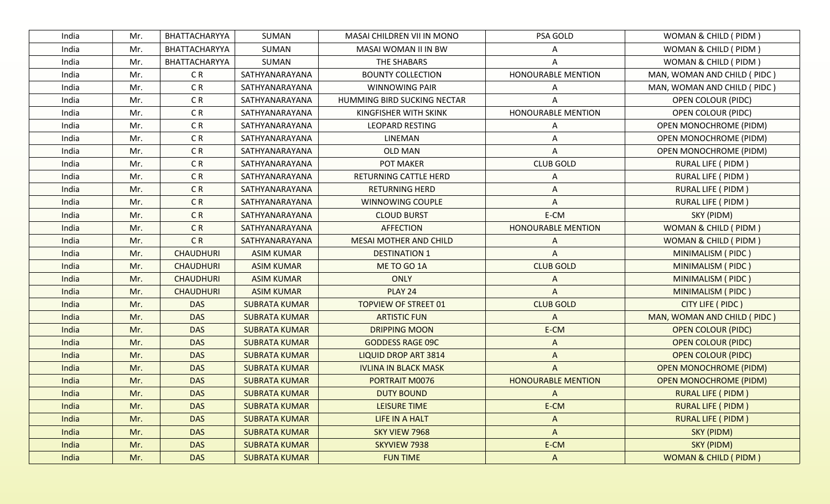| India | Mr. | BHATTACHARYYA    | SUMAN                | MASAI CHILDREN VII IN MONO    | PSA GOLD                  | WOMAN & CHILD ( PIDM )          |
|-------|-----|------------------|----------------------|-------------------------------|---------------------------|---------------------------------|
| India | Mr. | BHATTACHARYYA    | SUMAN                | MASAI WOMAN II IN BW          |                           | WOMAN & CHILD (PIDM)            |
| India | Mr. | BHATTACHARYYA    | SUMAN                | THE SHABARS                   |                           | WOMAN & CHILD (PIDM)            |
| India | Mr. | CR               | SATHYANARAYANA       | <b>BOUNTY COLLECTION</b>      | <b>HONOURABLE MENTION</b> | MAN, WOMAN AND CHILD ( PIDC )   |
| India | Mr. | CR               | SATHYANARAYANA       | <b>WINNOWING PAIR</b>         |                           | MAN, WOMAN AND CHILD (PIDC)     |
| India | Mr. | C R              | SATHYANARAYANA       | HUMMING BIRD SUCKING NECTAR   |                           | <b>OPEN COLOUR (PIDC)</b>       |
| India | Mr. | C R              | SATHYANARAYANA       | KINGFISHER WITH SKINK         | HONOURABLE MENTION        | <b>OPEN COLOUR (PIDC)</b>       |
| India | Mr. | CR               | SATHYANARAYANA       | <b>LEOPARD RESTING</b>        |                           | <b>OPEN MONOCHROME (PIDM)</b>   |
| India | Mr. | CR               | SATHYANARAYANA       | LINEMAN                       | Α                         | <b>OPEN MONOCHROME (PIDM)</b>   |
| India | Mr. | C <sub>R</sub>   | SATHYANARAYANA       | <b>OLD MAN</b>                | Α                         | <b>OPEN MONOCHROME (PIDM)</b>   |
| India | Mr. | CR               | SATHYANARAYANA       | POT MAKER                     | <b>CLUB GOLD</b>          | RURAL LIFE ( PIDM )             |
| India | Mr. | CR               | SATHYANARAYANA       | RETURNING CATTLE HERD         | Α                         | RURAL LIFE ( PIDM )             |
| India | Mr. | CR               | SATHYANARAYANA       | <b>RETURNING HERD</b>         | Α                         | RURAL LIFE ( PIDM )             |
| India | Mr. | CR               | SATHYANARAYANA       | WINNOWING COUPLE              | Α                         | RURAL LIFE ( PIDM )             |
| India | Mr. | C <sub>R</sub>   | SATHYANARAYANA       | <b>CLOUD BURST</b>            | E-CM                      | SKY (PIDM)                      |
| India | Mr. | C <sub>R</sub>   | SATHYANARAYANA       | <b>AFFECTION</b>              | <b>HONOURABLE MENTION</b> | WOMAN & CHILD ( PIDM )          |
| India | Mr. | C <sub>R</sub>   | SATHYANARAYANA       | <b>MESAI MOTHER AND CHILD</b> |                           | WOMAN & CHILD ( PIDM )          |
| India | Mr. | <b>CHAUDHURI</b> | <b>ASIM KUMAR</b>    | <b>DESTINATION 1</b>          | А                         | MINIMALISM (PIDC)               |
| India | Mr. | <b>CHAUDHURI</b> | <b>ASIM KUMAR</b>    | ME TO GO 1A                   | <b>CLUB GOLD</b>          | MINIMALISM (PIDC)               |
| India | Mr. | <b>CHAUDHURI</b> | <b>ASIM KUMAR</b>    | <b>ONLY</b>                   |                           | MINIMALISM (PIDC)               |
| India | Mr. | <b>CHAUDHURI</b> | <b>ASIM KUMAR</b>    | PLAY 24                       |                           | MINIMALISM (PIDC)               |
| India | Mr. | <b>DAS</b>       | <b>SUBRATA KUMAR</b> | <b>TOPVIEW OF STREET 01</b>   | <b>CLUB GOLD</b>          | CITY LIFE ( PIDC )              |
| India | Mr. | <b>DAS</b>       | <b>SUBRATA KUMAR</b> | <b>ARTISTIC FUN</b>           | A                         | MAN, WOMAN AND CHILD (PIDC)     |
| India | Mr. | <b>DAS</b>       | <b>SUBRATA KUMAR</b> | <b>DRIPPING MOON</b>          | E-CM                      | <b>OPEN COLOUR (PIDC)</b>       |
| India | Mr. | <b>DAS</b>       | <b>SUBRATA KUMAR</b> | <b>GODDESS RAGE 09C</b>       | A                         | <b>OPEN COLOUR (PIDC)</b>       |
| India | Mr. | <b>DAS</b>       | <b>SUBRATA KUMAR</b> | <b>LIQUID DROP ART 3814</b>   | A                         | <b>OPEN COLOUR (PIDC)</b>       |
| India | Mr. | <b>DAS</b>       | <b>SUBRATA KUMAR</b> | <b>IVLINA IN BLACK MASK</b>   | Α                         | <b>OPEN MONOCHROME (PIDM)</b>   |
| India | Mr. | <b>DAS</b>       | <b>SUBRATA KUMAR</b> | PORTRAIT M0076                | <b>HONOURABLE MENTION</b> | <b>OPEN MONOCHROME (PIDM)</b>   |
| India | Mr. | <b>DAS</b>       | <b>SUBRATA KUMAR</b> | <b>DUTY BOUND</b>             | Α                         | <b>RURAL LIFE ( PIDM )</b>      |
| India | Mr. | <b>DAS</b>       | <b>SUBRATA KUMAR</b> | LEISURE TIME                  | E-CM                      | <b>RURAL LIFE ( PIDM )</b>      |
| India | Mr. | <b>DAS</b>       | <b>SUBRATA KUMAR</b> | LIFE IN A HALT                | $\mathsf{A}$              | <b>RURAL LIFE ( PIDM )</b>      |
| India | Mr. | <b>DAS</b>       | <b>SUBRATA KUMAR</b> | SKY VIEW 7968                 | $\boldsymbol{\mathsf{A}}$ | SKY (PIDM)                      |
| India | Mr. | <b>DAS</b>       | <b>SUBRATA KUMAR</b> | SKYVIEW 7938                  | E-CM                      | SKY (PIDM)                      |
| India | Mr. | <b>DAS</b>       | <b>SUBRATA KUMAR</b> | <b>FUN TIME</b>               | $\mathsf{A}$              | <b>WOMAN &amp; CHILD (PIDM)</b> |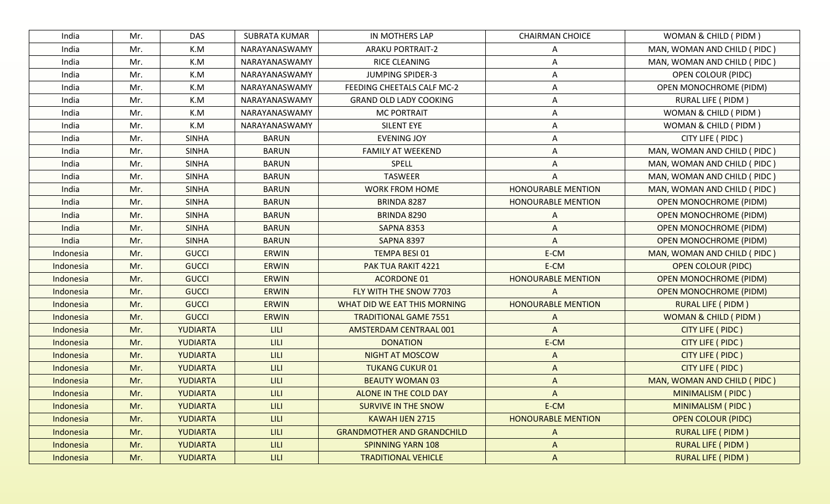| India     | Mr. | <b>DAS</b>      | SUBRATA KUMAR | IN MOTHERS LAP                    | <b>CHAIRMAN CHOICE</b>    | WOMAN & CHILD (PIDM)            |
|-----------|-----|-----------------|---------------|-----------------------------------|---------------------------|---------------------------------|
| India     | Mr. | K.M             | NARAYANASWAMY | <b>ARAKU PORTRAIT-2</b>           | A                         | MAN, WOMAN AND CHILD (PIDC)     |
| India     | Mr. | K.M             | NARAYANASWAMY | <b>RICE CLEANING</b>              | A                         | MAN, WOMAN AND CHILD (PIDC)     |
| India     | Mr. | K.M             | NARAYANASWAMY | <b>JUMPING SPIDER-3</b>           | Α                         | OPEN COLOUR (PIDC)              |
| India     | Mr. | K.M             | NARAYANASWAMY | FEEDING CHEETALS CALF MC-2        | A                         | <b>OPEN MONOCHROME (PIDM)</b>   |
| India     | Mr. | K.M             | NARAYANASWAMY | <b>GRAND OLD LADY COOKING</b>     | Α                         | RURAL LIFE ( PIDM )             |
| India     | Mr. | K.M             | NARAYANASWAMY | <b>MC PORTRAIT</b>                | A                         | WOMAN & CHILD ( PIDM )          |
| India     | Mr. | K.M             | NARAYANASWAMY | <b>SILENT EYE</b>                 | A                         | WOMAN & CHILD ( PIDM )          |
| India     | Mr. | <b>SINHA</b>    | <b>BARUN</b>  | <b>EVENING JOY</b>                | Α                         | CITY LIFE ( PIDC )              |
| India     | Mr. | SINHA           | <b>BARUN</b>  | <b>FAMILY AT WEEKEND</b>          | Α                         | MAN, WOMAN AND CHILD (PIDC)     |
| India     | Mr. | <b>SINHA</b>    | <b>BARUN</b>  | <b>SPELL</b>                      | A                         | MAN, WOMAN AND CHILD (PIDC)     |
| India     | Mr. | <b>SINHA</b>    | <b>BARUN</b>  | <b>TASWEER</b>                    | Α                         | MAN, WOMAN AND CHILD (PIDC)     |
| India     | Mr. | <b>SINHA</b>    | <b>BARUN</b>  | <b>WORK FROM HOME</b>             | <b>HONOURABLE MENTION</b> | MAN, WOMAN AND CHILD (PIDC)     |
| India     | Mr. | <b>SINHA</b>    | <b>BARUN</b>  | BRINDA 8287                       | <b>HONOURABLE MENTION</b> | <b>OPEN MONOCHROME (PIDM)</b>   |
| India     | Mr. | <b>SINHA</b>    | <b>BARUN</b>  | BRINDA 8290                       | Α                         | <b>OPEN MONOCHROME (PIDM)</b>   |
| India     | Mr. | <b>SINHA</b>    | <b>BARUN</b>  | <b>SAPNA 8353</b>                 | A                         | <b>OPEN MONOCHROME (PIDM)</b>   |
| India     | Mr. | <b>SINHA</b>    | <b>BARUN</b>  | <b>SAPNA 8397</b>                 | A                         | <b>OPEN MONOCHROME (PIDM)</b>   |
| Indonesia | Mr. | <b>GUCCI</b>    | <b>ERWIN</b>  | TEMPA BESI 01                     | E-CM                      | MAN, WOMAN AND CHILD (PIDC)     |
| Indonesia | Mr. | <b>GUCCI</b>    | <b>ERWIN</b>  | PAK TUA RAKIT 4221                | E-CM                      | <b>OPEN COLOUR (PIDC)</b>       |
| Indonesia | Mr. | <b>GUCCI</b>    | <b>ERWIN</b>  | <b>ACORDONE 01</b>                | <b>HONOURABLE MENTION</b> | <b>OPEN MONOCHROME (PIDM)</b>   |
| Indonesia | Mr. | <b>GUCCI</b>    | <b>ERWIN</b>  | FLY WITH THE SNOW 7703            | $\mathsf{A}$              | <b>OPEN MONOCHROME (PIDM)</b>   |
| Indonesia | Mr. | <b>GUCCI</b>    | <b>ERWIN</b>  | WHAT DID WE EAT THIS MORNING      | <b>HONOURABLE MENTION</b> | <b>RURAL LIFE ( PIDM )</b>      |
| Indonesia | Mr. | <b>GUCCI</b>    | <b>ERWIN</b>  | <b>TRADITIONAL GAME 7551</b>      | A                         | <b>WOMAN &amp; CHILD (PIDM)</b> |
| Indonesia | Mr. | <b>YUDIARTA</b> | <b>LILI</b>   | AMSTERDAM CENTRAAL 001            | $\overline{A}$            | CITY LIFE ( PIDC )              |
| Indonesia | Mr. | <b>YUDIARTA</b> | <b>LILI</b>   | <b>DONATION</b>                   | E-CM                      | CITY LIFE ( PIDC )              |
| Indonesia | Mr. | YUDIARTA        | LILI.         | <b>NIGHT AT MOSCOW</b>            | A                         | CITY LIFE ( PIDC )              |
| Indonesia | Mr. | <b>YUDIARTA</b> | <b>LILI</b>   | <b>TUKANG CUKUR 01</b>            | $\Lambda$                 | CITY LIFE ( PIDC )              |
| Indonesia | Mr. | YUDIARTA        | LILI          | <b>BEAUTY WOMAN 03</b>            | A                         | MAN, WOMAN AND CHILD (PIDC)     |
| Indonesia | Mr. | <b>YUDIARTA</b> | <b>LILI</b>   | ALONE IN THE COLD DAY             | A                         | MINIMALISM (PIDC)               |
| Indonesia | Mr. | <b>YUDIARTA</b> | LILI.         | <b>SURVIVE IN THE SNOW</b>        | E-CM                      | <b>MINIMALISM (PIDC)</b>        |
| Indonesia | Mr. | <b>YUDIARTA</b> | LILI.         | KAWAH IJEN 2715                   | <b>HONOURABLE MENTION</b> | <b>OPEN COLOUR (PIDC)</b>       |
| Indonesia | Mr. | <b>YUDIARTA</b> | LILI          | <b>GRANDMOTHER AND GRANDCHILD</b> | A                         | <b>RURAL LIFE ( PIDM )</b>      |
| Indonesia | Mr. | YUDIARTA        | <b>LILI</b>   | <b>SPINNING YARN 108</b>          | $\mathsf{A}$              | <b>RURAL LIFE ( PIDM )</b>      |
| Indonesia | Mr. | YUDIARTA        | LILI          | <b>TRADITIONAL VEHICLE</b>        | $\mathsf{A}$              | <b>RURAL LIFE ( PIDM )</b>      |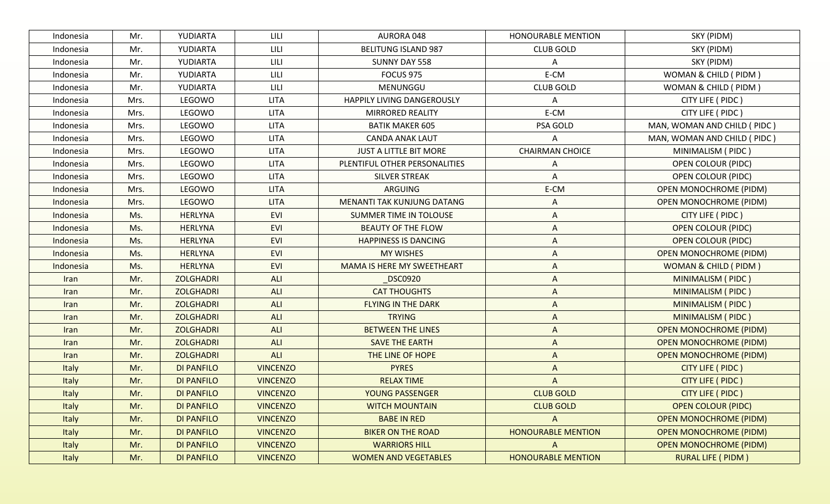| Indonesia    | Mr.  | YUDIARTA          | LILI            | AURORA 048                    | <b>HONOURABLE MENTION</b> | SKY (PIDM)                    |
|--------------|------|-------------------|-----------------|-------------------------------|---------------------------|-------------------------------|
| Indonesia    | Mr.  | YUDIARTA          | LILI            | <b>BELITUNG ISLAND 987</b>    | <b>CLUB GOLD</b>          | SKY (PIDM)                    |
| Indonesia    | Mr.  | YUDIARTA          | LILI            | SUNNY DAY 558                 | Α                         | SKY (PIDM)                    |
| Indonesia    | Mr.  | YUDIARTA          | LILI            | <b>FOCUS 975</b>              | E-CM                      | WOMAN & CHILD ( PIDM )        |
| Indonesia    | Mr.  | YUDIARTA          | LILI            | MENUNGGU                      | <b>CLUB GOLD</b>          | WOMAN & CHILD (PIDM)          |
| Indonesia    | Mrs. | LEGOWO            | <b>LITA</b>     | HAPPILY LIVING DANGEROUSLY    | Α                         | CITY LIFE ( PIDC )            |
| Indonesia    | Mrs. | LEGOWO            | <b>LITA</b>     | <b>MIRRORED REALITY</b>       | E-CM                      | CITY LIFE ( PIDC )            |
| Indonesia    | Mrs. | LEGOWO            | <b>LITA</b>     | <b>BATIK MAKER 605</b>        | PSA GOLD                  | MAN, WOMAN AND CHILD ( PIDC ) |
| Indonesia    | Mrs. | LEGOWO            | <b>LITA</b>     | <b>CANDA ANAK LAUT</b>        | Α                         | MAN, WOMAN AND CHILD (PIDC)   |
| Indonesia    | Mrs. | LEGOWO            | <b>LITA</b>     | <b>JUST A LITTLE BIT MORE</b> | <b>CHAIRMAN CHOICE</b>    | MINIMALISM (PIDC)             |
| Indonesia    | Mrs. | LEGOWO            | <b>LITA</b>     | PLENTIFUL OTHER PERSONALITIES | A                         | <b>OPEN COLOUR (PIDC)</b>     |
| Indonesia    | Mrs. | LEGOWO            | <b>LITA</b>     | <b>SILVER STREAK</b>          | Α                         | <b>OPEN COLOUR (PIDC)</b>     |
| Indonesia    | Mrs. | LEGOWO            | <b>LITA</b>     | <b>ARGUING</b>                | E-CM                      | <b>OPEN MONOCHROME (PIDM)</b> |
| Indonesia    | Mrs. | LEGOWO            | <b>LITA</b>     | MENANTI TAK KUNJUNG DATANG    | A                         | <b>OPEN MONOCHROME (PIDM)</b> |
| Indonesia    | Ms.  | <b>HERLYNA</b>    | <b>EVI</b>      | SUMMER TIME IN TOLOUSE        | A                         | CITY LIFE ( PIDC )            |
| Indonesia    | Ms.  | <b>HERLYNA</b>    | <b>EVI</b>      | <b>BEAUTY OF THE FLOW</b>     | A                         | <b>OPEN COLOUR (PIDC)</b>     |
| Indonesia    | Ms.  | <b>HERLYNA</b>    | <b>EVI</b>      | <b>HAPPINESS IS DANCING</b>   | A                         | <b>OPEN COLOUR (PIDC)</b>     |
| Indonesia    | Ms.  | <b>HERLYNA</b>    | <b>EVI</b>      | <b>MY WISHES</b>              | A                         | <b>OPEN MONOCHROME (PIDM)</b> |
| Indonesia    | Ms.  | <b>HERLYNA</b>    | <b>EVI</b>      | MAMA IS HERE MY SWEETHEART    | A                         | WOMAN & CHILD (PIDM)          |
| Iran         | Mr.  | <b>ZOLGHADRI</b>  | <b>ALI</b>      | <b>DSC0920</b>                | A                         | MINIMALISM (PIDC)             |
| Iran         | Mr.  | <b>ZOLGHADRI</b>  | <b>ALI</b>      | <b>CAT THOUGHTS</b>           | A                         | MINIMALISM (PIDC)             |
| Iran         | Mr.  | <b>ZOLGHADRI</b>  | <b>ALI</b>      | <b>FLYING IN THE DARK</b>     | A                         | MINIMALISM (PIDC)             |
| Iran         | Mr.  | <b>ZOLGHADRI</b>  | <b>ALI</b>      | <b>TRYING</b>                 | A                         | MINIMALISM (PIDC)             |
| <b>Iran</b>  | Mr.  | <b>ZOLGHADRI</b>  | <b>ALI</b>      | <b>BETWEEN THE LINES</b>      | $\Lambda$                 | <b>OPEN MONOCHROME (PIDM)</b> |
| <b>Iran</b>  | Mr.  | <b>ZOLGHADRI</b>  | ALI             | <b>SAVE THE EARTH</b>         | $\Lambda$                 | <b>OPEN MONOCHROME (PIDM)</b> |
| Iran         | Mr.  | <b>ZOLGHADRI</b>  | <b>ALI</b>      | THE LINE OF HOPE              | A                         | <b>OPEN MONOCHROME (PIDM)</b> |
| Italy        | Mr.  | <b>DI PANFILO</b> | <b>VINCENZO</b> | <b>PYRES</b>                  | A                         | CITY LIFE ( PIDC )            |
| Italy        | Mr.  | <b>DI PANFILO</b> | <b>VINCENZO</b> | <b>RELAX TIME</b>             | A                         | CITY LIFE ( PIDC )            |
| Italy        | Mr.  | <b>DI PANFILO</b> | <b>VINCENZO</b> | YOUNG PASSENGER               | <b>CLUB GOLD</b>          | CITY LIFE ( PIDC )            |
| Italy        | Mr.  | <b>DI PANFILO</b> | <b>VINCENZO</b> | <b>WITCH MOUNTAIN</b>         | <b>CLUB GOLD</b>          | <b>OPEN COLOUR (PIDC)</b>     |
| <b>Italy</b> | Mr.  | DI PANFILO        | <b>VINCENZO</b> | <b>BABE IN RED</b>            | A                         | <b>OPEN MONOCHROME (PIDM)</b> |
| Italy        | Mr.  | <b>DI PANFILO</b> | <b>VINCENZO</b> | <b>BIKER ON THE ROAD</b>      | <b>HONOURABLE MENTION</b> | <b>OPEN MONOCHROME (PIDM)</b> |
| Italy        | Mr.  | <b>DI PANFILO</b> | <b>VINCENZO</b> | <b>WARRIORS HILL</b>          | A                         | <b>OPEN MONOCHROME (PIDM)</b> |
| Italy        | Mr.  | <b>DI PANFILO</b> | <b>VINCENZO</b> | <b>WOMEN AND VEGETABLES</b>   | <b>HONOURABLE MENTION</b> | <b>RURAL LIFE ( PIDM )</b>    |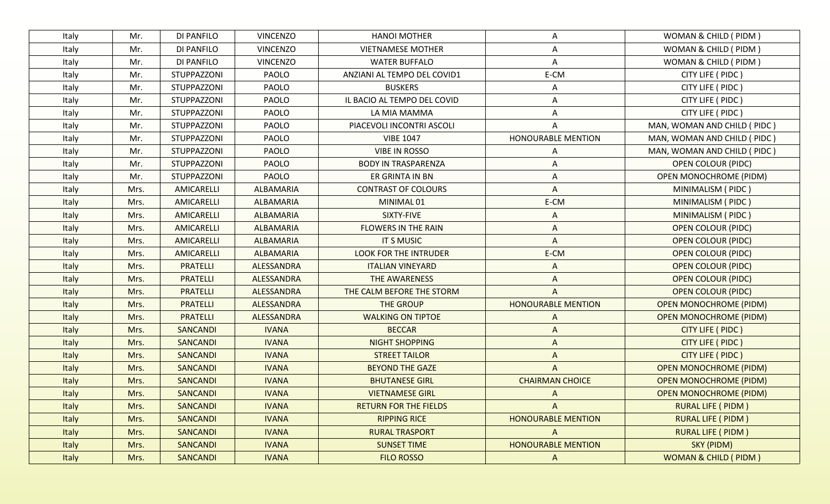| Italy        | Mr.  | DI PANFILO      | <b>VINCENZO</b> | <b>HANOI MOTHER</b>          | A                         | WOMAN & CHILD (PIDM)            |
|--------------|------|-----------------|-----------------|------------------------------|---------------------------|---------------------------------|
| Italy        | Mr.  | DI PANFILO      | <b>VINCENZO</b> | <b>VIETNAMESE MOTHER</b>     | Α                         | WOMAN & CHILD ( PIDM )          |
| Italy        | Mr.  | DI PANFILO      | <b>VINCENZO</b> | <b>WATER BUFFALO</b>         | A                         | WOMAN & CHILD (PIDM)            |
| Italy        | Mr.  | STUPPAZZONI     | PAOLO           | ANZIANI AL TEMPO DEL COVID1  | E-CM                      | CITY LIFE ( PIDC )              |
| Italy        | Mr.  | STUPPAZZONI     | PAOLO           | <b>BUSKERS</b>               | A                         | CITY LIFE ( PIDC )              |
| Italy        | Mr.  | STUPPAZZONI     | PAOLO           | IL BACIO AL TEMPO DEL COVID  | A                         | CITY LIFE ( PIDC )              |
| Italy        | Mr.  | STUPPAZZONI     | PAOLO           | LA MIA MAMMA                 | Α                         | CITY LIFE ( PIDC )              |
| Italy        | Mr.  | STUPPAZZONI     | PAOLO           | PIACEVOLI INCONTRI ASCOLI    | Α                         | MAN, WOMAN AND CHILD ( PIDC )   |
| Italy        | Mr.  | STUPPAZZONI     | PAOLO           | <b>VIBE 1047</b>             | <b>HONOURABLE MENTION</b> | MAN, WOMAN AND CHILD ( PIDC )   |
| Italy        | Mr.  | STUPPAZZONI     | PAOLO           | <b>VIBE IN ROSSO</b>         | Α                         | MAN, WOMAN AND CHILD (PIDC)     |
| Italy        | Mr.  | STUPPAZZONI     | PAOLO           | <b>BODY IN TRASPARENZA</b>   | A                         | <b>OPEN COLOUR (PIDC)</b>       |
| Italy        | Mr.  | STUPPAZZONI     | PAOLO           | ER GRINTA IN BN              | A                         | <b>OPEN MONOCHROME (PIDM)</b>   |
| Italy        | Mrs. | AMICARELLI      | ALBAMARIA       | <b>CONTRAST OF COLOURS</b>   | A                         | MINIMALISM (PIDC)               |
| Italy        | Mrs. | AMICARELLI      | ALBAMARIA       | MINIMAL 01                   | E-CM                      | MINIMALISM (PIDC)               |
| Italy        | Mrs. | AMICARELLI      | ALBAMARIA       | SIXTY-FIVE                   | A                         | MINIMALISM (PIDC)               |
| Italy        | Mrs. | AMICARELLI      | ALBAMARIA       | <b>FLOWERS IN THE RAIN</b>   | A                         | <b>OPEN COLOUR (PIDC)</b>       |
| Italy        | Mrs. | AMICARELLI      | ALBAMARIA       | <b>IT S MUSIC</b>            | $\wedge$                  | <b>OPEN COLOUR (PIDC)</b>       |
| Italy        | Mrs. | AMICARELLI      | ALBAMARIA       | <b>LOOK FOR THE INTRUDER</b> | E-CM                      | <b>OPEN COLOUR (PIDC)</b>       |
| Italy        | Mrs. | <b>PRATELLI</b> | ALESSANDRA      | <b>ITALIAN VINEYARD</b>      | A                         | <b>OPEN COLOUR (PIDC)</b>       |
| Italy        | Mrs. | <b>PRATELLI</b> | ALESSANDRA      | THE AWARENESS                | A                         | <b>OPEN COLOUR (PIDC)</b>       |
| Italy        | Mrs. | <b>PRATELLI</b> | ALESSANDRA      | THE CALM BEFORE THE STORM    | A                         | <b>OPEN COLOUR (PIDC)</b>       |
| Italy        | Mrs. | <b>PRATELLI</b> | ALESSANDRA      | THE GROUP                    | <b>HONOURABLE MENTION</b> | <b>OPEN MONOCHROME (PIDM)</b>   |
| Italy        | Mrs. | <b>PRATELLI</b> | ALESSANDRA      | <b>WALKING ON TIPTOE</b>     | A                         | <b>OPEN MONOCHROME (PIDM)</b>   |
| Italy        | Mrs. | <b>SANCANDI</b> | <b>IVANA</b>    | <b>BECCAR</b>                | A                         | CITY LIFE ( PIDC )              |
| Italy        | Mrs. | <b>SANCANDI</b> | <b>IVANA</b>    | <b>NIGHT SHOPPING</b>        | A                         | CITY LIFE ( PIDC )              |
| Italy        | Mrs. | <b>SANCANDI</b> | <b>IVANA</b>    | <b>STREET TAILOR</b>         | $\Lambda$                 | CITY LIFE ( PIDC )              |
| Italy        | Mrs. | <b>SANCANDI</b> | <b>IVANA</b>    | <b>BEYOND THE GAZE</b>       | Α                         | <b>OPEN MONOCHROME (PIDM)</b>   |
| Italy        | Mrs. | <b>SANCANDI</b> | <b>IVANA</b>    | <b>BHUTANESE GIRL</b>        | <b>CHAIRMAN CHOICE</b>    | <b>OPEN MONOCHROME (PIDM)</b>   |
| Italy        | Mrs. | <b>SANCANDI</b> | <b>IVANA</b>    | <b>VIETNAMESE GIRL</b>       | A                         | <b>OPEN MONOCHROME (PIDM)</b>   |
| Italy        | Mrs. | <b>SANCANDI</b> | <b>IVANA</b>    | <b>RETURN FOR THE FIELDS</b> | A                         | <b>RURAL LIFE ( PIDM )</b>      |
| Italy        | Mrs. | <b>SANCANDI</b> | <b>IVANA</b>    | <b>RIPPING RICE</b>          | <b>HONOURABLE MENTION</b> | <b>RURAL LIFE ( PIDM )</b>      |
| Italy        | Mrs. | SANCANDI        | <b>IVANA</b>    | <b>RURAL TRASPORT</b>        | A                         | <b>RURAL LIFE ( PIDM )</b>      |
| <b>Italy</b> | Mrs. | <b>SANCANDI</b> | <b>IVANA</b>    | <b>SUNSET TIME</b>           | <b>HONOURABLE MENTION</b> | SKY (PIDM)                      |
| Italy        | Mrs. | <b>SANCANDI</b> | <b>IVANA</b>    | <b>FILO ROSSO</b>            | $\mathsf{A}$              | <b>WOMAN &amp; CHILD (PIDM)</b> |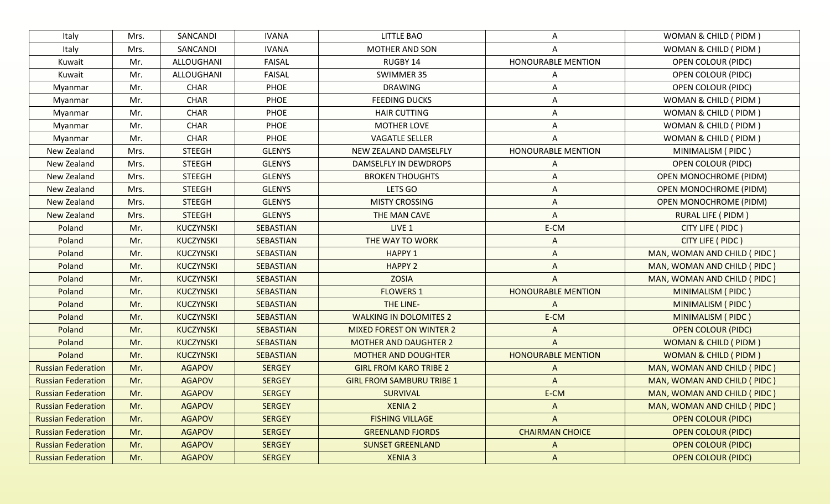| Italy                     | Mrs. | SANCANDI         | <b>IVANA</b>     | <b>LITTLE BAO</b>                | A                         | WOMAN & CHILD ( PIDM )          |
|---------------------------|------|------------------|------------------|----------------------------------|---------------------------|---------------------------------|
| Italy                     | Mrs. | SANCANDI         | <b>IVANA</b>     | MOTHER AND SON                   | A                         | WOMAN & CHILD ( PIDM )          |
| Kuwait                    | Mr.  | ALLOUGHANI       | <b>FAISAL</b>    | RUGBY 14                         | HONOURABLE MENTION        | <b>OPEN COLOUR (PIDC)</b>       |
| Kuwait                    | Mr.  | ALLOUGHANI       | <b>FAISAL</b>    | SWIMMER 35                       | A                         | OPEN COLOUR (PIDC)              |
| Myanmar                   | Mr.  | <b>CHAR</b>      | PHOE             | <b>DRAWING</b>                   | Α                         | <b>OPEN COLOUR (PIDC)</b>       |
| Myanmar                   | Mr.  | <b>CHAR</b>      | PHOE             | <b>FEEDING DUCKS</b>             | A                         | WOMAN & CHILD ( PIDM )          |
| Myanmar                   | Mr.  | CHAR             | PHOE             | <b>HAIR CUTTING</b>              | Α                         | WOMAN & CHILD ( PIDM )          |
| Myanmar                   | Mr.  | <b>CHAR</b>      | PHOE             | <b>MOTHER LOVE</b>               | A                         | WOMAN & CHILD ( PIDM )          |
| Myanmar                   | Mr.  | <b>CHAR</b>      | PHOE             | <b>VAGATLE SELLER</b>            |                           | WOMAN & CHILD ( PIDM )          |
| New Zealand               | Mrs. | <b>STEEGH</b>    | <b>GLENYS</b>    | NEW ZEALAND DAMSELFLY            | HONOURABLE MENTION        | MINIMALISM (PIDC)               |
| New Zealand               | Mrs. | <b>STEEGH</b>    | <b>GLENYS</b>    | DAMSELFLY IN DEWDROPS            | Α                         | <b>OPEN COLOUR (PIDC)</b>       |
| New Zealand               | Mrs. | <b>STEEGH</b>    | <b>GLENYS</b>    | <b>BROKEN THOUGHTS</b>           | A                         | <b>OPEN MONOCHROME (PIDM)</b>   |
| New Zealand               | Mrs. | <b>STEEGH</b>    | <b>GLENYS</b>    | LETS GO                          | A                         | <b>OPEN MONOCHROME (PIDM)</b>   |
| New Zealand               | Mrs. | <b>STEEGH</b>    | <b>GLENYS</b>    | <b>MISTY CROSSING</b>            | A                         | <b>OPEN MONOCHROME (PIDM)</b>   |
| New Zealand               | Mrs. | <b>STEEGH</b>    | <b>GLENYS</b>    | THE MAN CAVE                     | A                         | RURAL LIFE ( PIDM )             |
| Poland                    | Mr.  | <b>KUCZYNSKI</b> | <b>SEBASTIAN</b> | LIVE 1                           | E-CM                      | CITY LIFE ( PIDC )              |
| Poland                    | Mr.  | KUCZYNSKI        | SEBASTIAN        | THE WAY TO WORK                  | A                         | CITY LIFE ( PIDC )              |
| Poland                    | Mr.  | KUCZYNSKI        | SEBASTIAN        | <b>HAPPY 1</b>                   | A                         | MAN, WOMAN AND CHILD ( PIDC )   |
| Poland                    | Mr.  | KUCZYNSKI        | SEBASTIAN        | <b>HAPPY 2</b>                   | A                         | MAN, WOMAN AND CHILD (PIDC)     |
| Poland                    | Mr.  | <b>KUCZYNSKI</b> | SEBASTIAN        | <b>ZOSIA</b>                     | A                         | MAN, WOMAN AND CHILD (PIDC)     |
| Poland                    | Mr.  | <b>KUCZYNSKI</b> | SEBASTIAN        | <b>FLOWERS 1</b>                 | <b>HONOURABLE MENTION</b> | MINIMALISM (PIDC)               |
| Poland                    | Mr.  | <b>KUCZYNSKI</b> | <b>SEBASTIAN</b> | THE LINE-                        | A                         | MINIMALISM (PIDC)               |
| Poland                    | Mr.  | <b>KUCZYNSKI</b> | <b>SEBASTIAN</b> | <b>WALKING IN DOLOMITES 2</b>    | E-CM                      | MINIMALISM (PIDC)               |
| Poland                    | Mr.  | <b>KUCZYNSKI</b> | <b>SEBASTIAN</b> | <b>MIXED FOREST ON WINTER 2</b>  | A                         | <b>OPEN COLOUR (PIDC)</b>       |
| Poland                    | Mr.  | <b>KUCZYNSKI</b> | <b>SEBASTIAN</b> | <b>MOTHER AND DAUGHTER 2</b>     | A                         | <b>WOMAN &amp; CHILD (PIDM)</b> |
| Poland                    | Mr.  | <b>KUCZYNSKI</b> | <b>SEBASTIAN</b> | <b>MOTHER AND DOUGHTER</b>       | <b>HONOURABLE MENTION</b> | <b>WOMAN &amp; CHILD (PIDM)</b> |
| <b>Russian Federation</b> | Mr.  | <b>AGAPOV</b>    | <b>SERGEY</b>    | <b>GIRL FROM KARO TRIBE 2</b>    | A                         | MAN, WOMAN AND CHILD ( PIDC )   |
| <b>Russian Federation</b> | Mr.  | <b>AGAPOV</b>    | <b>SERGEY</b>    | <b>GIRL FROM SAMBURU TRIBE 1</b> | A                         | MAN, WOMAN AND CHILD (PIDC)     |
| <b>Russian Federation</b> | Mr.  | <b>AGAPOV</b>    | <b>SERGEY</b>    | <b>SURVIVAL</b>                  | E-CM                      | MAN, WOMAN AND CHILD (PIDC)     |
| <b>Russian Federation</b> | Mr.  | <b>AGAPOV</b>    | <b>SERGEY</b>    | <b>XENIA 2</b>                   | A                         | MAN, WOMAN AND CHILD (PIDC)     |
| <b>Russian Federation</b> | Mr.  | <b>AGAPOV</b>    | <b>SERGEY</b>    | <b>FISHING VILLAGE</b>           | $\Lambda$                 | <b>OPEN COLOUR (PIDC)</b>       |
| <b>Russian Federation</b> | Mr.  | <b>AGAPOV</b>    | <b>SERGEY</b>    | <b>GREENLAND FJORDS</b>          | <b>CHAIRMAN CHOICE</b>    | <b>OPEN COLOUR (PIDC)</b>       |
| <b>Russian Federation</b> | Mr.  | <b>AGAPOV</b>    | <b>SERGEY</b>    | <b>SUNSET GREENLAND</b>          | A                         | <b>OPEN COLOUR (PIDC)</b>       |
| <b>Russian Federation</b> | Mr.  | <b>AGAPOV</b>    | <b>SERGEY</b>    | <b>XENIA 3</b>                   | A                         | <b>OPEN COLOUR (PIDC)</b>       |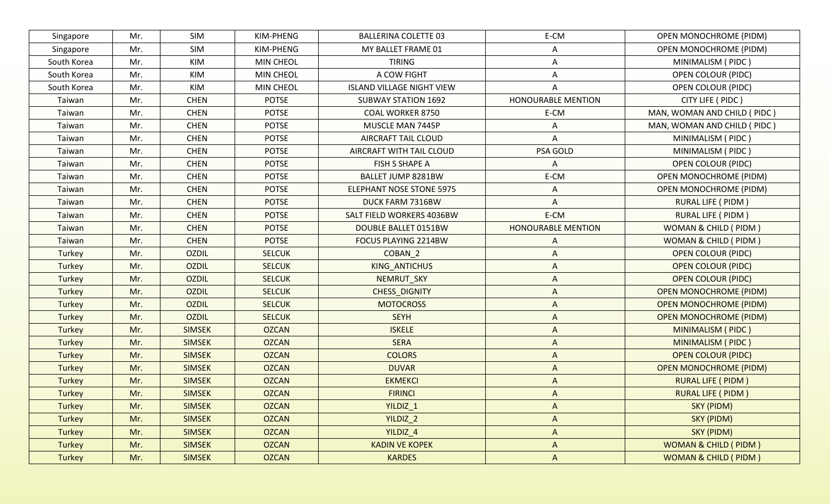| Singapore     | Mr. | SIM           | KIM-PHENG     | <b>BALLERINA COLETTE 03</b>      | E-CM                      | <b>OPEN MONOCHROME (PIDM)</b>   |
|---------------|-----|---------------|---------------|----------------------------------|---------------------------|---------------------------------|
| Singapore     | Mr. | SIM           | KIM-PHENG     | MY BALLET FRAME 01               | A                         | <b>OPEN MONOCHROME (PIDM)</b>   |
| South Korea   | Mr. | KIM           | MIN CHEOL     | <b>TIRING</b>                    | A                         | MINIMALISM (PIDC)               |
| South Korea   | Mr. | KIM           | MIN CHEOL     | A COW FIGHT                      | A                         | OPEN COLOUR (PIDC)              |
| South Korea   | Mr. | KIM           | MIN CHEOL     | <b>ISLAND VILLAGE NIGHT VIEW</b> | Α                         | <b>OPEN COLOUR (PIDC)</b>       |
| Taiwan        | Mr. | <b>CHEN</b>   | <b>POTSE</b>  | <b>SUBWAY STATION 1692</b>       | <b>HONOURABLE MENTION</b> | CITY LIFE ( PIDC )              |
| Taiwan        | Mr. | <b>CHEN</b>   | <b>POTSE</b>  | <b>COAL WORKER 8750</b>          | E-CM                      | MAN, WOMAN AND CHILD ( PIDC )   |
| Taiwan        | Mr. | <b>CHEN</b>   | <b>POTSE</b>  | MUSCLE MAN 7445P                 | A                         | MAN, WOMAN AND CHILD (PIDC)     |
| Taiwan        | Mr. | <b>CHEN</b>   | <b>POTSE</b>  | AIRCRAFT TAIL CLOUD              | A                         | MINIMALISM (PIDC)               |
| Taiwan        | Mr. | <b>CHEN</b>   | <b>POTSE</b>  | AIRCRAFT WITH TAIL CLOUD         | PSA GOLD                  | MINIMALISM (PIDC)               |
| Taiwan        | Mr. | <b>CHEN</b>   | <b>POTSE</b>  | <b>FISH S SHAPE A</b>            | A                         | <b>OPEN COLOUR (PIDC)</b>       |
| Taiwan        | Mr. | <b>CHEN</b>   | <b>POTSE</b>  | BALLET JUMP 8281BW               | E-CM                      | <b>OPEN MONOCHROME (PIDM)</b>   |
| Taiwan        | Mr. | <b>CHEN</b>   | <b>POTSE</b>  | <b>ELEPHANT NOSE STONE 5975</b>  | A                         | <b>OPEN MONOCHROME (PIDM)</b>   |
| Taiwan        | Mr. | <b>CHEN</b>   | <b>POTSE</b>  | DUCK FARM 7316BW                 | A                         | RURAL LIFE ( PIDM )             |
| Taiwan        | Mr. | <b>CHEN</b>   | <b>POTSE</b>  | SALT FIELD WORKERS 4036BW        | E-CM                      | <b>RURAL LIFE ( PIDM )</b>      |
| Taiwan        | Mr. | <b>CHEN</b>   | <b>POTSE</b>  | DOUBLE BALLET 0151BW             | <b>HONOURABLE MENTION</b> | WOMAN & CHILD (PIDM)            |
| Taiwan        | Mr. | <b>CHEN</b>   | <b>POTSE</b>  | FOCUS PLAYING 2214BW             | A                         | WOMAN & CHILD (PIDM)            |
| Turkey        | Mr. | <b>OZDIL</b>  | <b>SELCUK</b> | COBAN 2                          | A                         | <b>OPEN COLOUR (PIDC)</b>       |
| Turkey        | Mr. | <b>OZDIL</b>  | <b>SELCUK</b> | KING_ANTICHUS                    | A                         | <b>OPEN COLOUR (PIDC)</b>       |
| Turkey        | Mr. | <b>OZDIL</b>  | <b>SELCUK</b> | NEMRUT_SKY                       | A                         | <b>OPEN COLOUR (PIDC)</b>       |
| Turkey        | Mr. | <b>OZDIL</b>  | <b>SELCUK</b> | CHESS_DIGNITY                    | A                         | <b>OPEN MONOCHROME (PIDM)</b>   |
| Turkey        | Mr. | <b>OZDIL</b>  | <b>SELCUK</b> | <b>MOTOCROSS</b>                 | A                         | <b>OPEN MONOCHROME (PIDM)</b>   |
| Turkey        | Mr. | <b>OZDIL</b>  | <b>SELCUK</b> | <b>SEYH</b>                      | A                         | <b>OPEN MONOCHROME (PIDM)</b>   |
| <b>Turkey</b> | Mr. | <b>SIMSEK</b> | <b>OZCAN</b>  | <b>ISKELE</b>                    | A                         | MINIMALISM (PIDC)               |
| Turkey        | Mr. | <b>SIMSEK</b> | <b>OZCAN</b>  | <b>SERA</b>                      | $\Lambda$                 | MINIMALISM (PIDC)               |
| Turkey        | Mr. | <b>SIMSEK</b> | <b>OZCAN</b>  | <b>COLORS</b>                    | A                         | <b>OPEN COLOUR (PIDC)</b>       |
| Turkey        | Mr. | <b>SIMSEK</b> | <b>OZCAN</b>  | <b>DUVAR</b>                     | A                         | <b>OPEN MONOCHROME (PIDM)</b>   |
| Turkey        | Mr. | <b>SIMSEK</b> | <b>OZCAN</b>  | <b>EKMEKCI</b>                   | A                         | <b>RURAL LIFE ( PIDM )</b>      |
| <b>Turkey</b> | Mr. | <b>SIMSEK</b> | <b>OZCAN</b>  | <b>FIRINCI</b>                   | A                         | <b>RURAL LIFE ( PIDM )</b>      |
| <b>Turkey</b> | Mr. | <b>SIMSEK</b> | <b>OZCAN</b>  | YILDIZ <sub>1</sub>              | A                         | SKY (PIDM)                      |
| Turkey        | Mr. | <b>SIMSEK</b> | <b>OZCAN</b>  | YILDIZ <sub>2</sub>              | $\boldsymbol{\mathsf{A}}$ | SKY (PIDM)                      |
| <b>Turkey</b> | Mr. | <b>SIMSEK</b> | <b>OZCAN</b>  | YILDIZ <sub>4</sub>              | $\boldsymbol{\mathsf{A}}$ | SKY (PIDM)                      |
| <b>Turkey</b> | Mr. | <b>SIMSEK</b> | <b>OZCAN</b>  | <b>KADIN VE KOPEK</b>            | A                         | <b>WOMAN &amp; CHILD (PIDM)</b> |
| Turkey        | Mr. | <b>SIMSEK</b> | <b>OZCAN</b>  | <b>KARDES</b>                    | A                         | <b>WOMAN &amp; CHILD (PIDM)</b> |